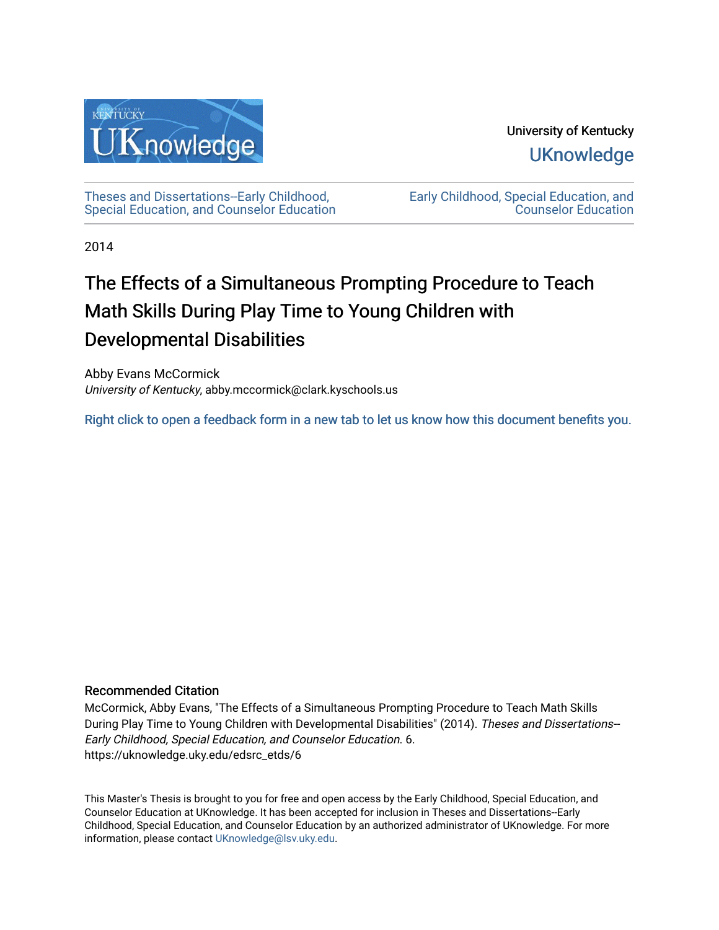

University of Kentucky **UKnowledge** 

[Theses and Dissertations--Early Childhood,](https://uknowledge.uky.edu/edsrc_etds)  [Special Education, and Counselor Education](https://uknowledge.uky.edu/edsrc_etds) [Early Childhood, Special Education, and](https://uknowledge.uky.edu/edsrc)  [Counselor Education](https://uknowledge.uky.edu/edsrc) 

2014

# The Effects of a Simultaneous Prompting Procedure to Teach Math Skills During Play Time to Young Children with Developmental Disabilities

Abby Evans McCormick University of Kentucky, abby.mccormick@clark.kyschools.us

[Right click to open a feedback form in a new tab to let us know how this document benefits you.](https://uky.az1.qualtrics.com/jfe/form/SV_9mq8fx2GnONRfz7)

### Recommended Citation

McCormick, Abby Evans, "The Effects of a Simultaneous Prompting Procedure to Teach Math Skills During Play Time to Young Children with Developmental Disabilities" (2014). Theses and Dissertations-- Early Childhood, Special Education, and Counselor Education. 6. https://uknowledge.uky.edu/edsrc\_etds/6

This Master's Thesis is brought to you for free and open access by the Early Childhood, Special Education, and Counselor Education at UKnowledge. It has been accepted for inclusion in Theses and Dissertations--Early Childhood, Special Education, and Counselor Education by an authorized administrator of UKnowledge. For more information, please contact [UKnowledge@lsv.uky.edu](mailto:UKnowledge@lsv.uky.edu).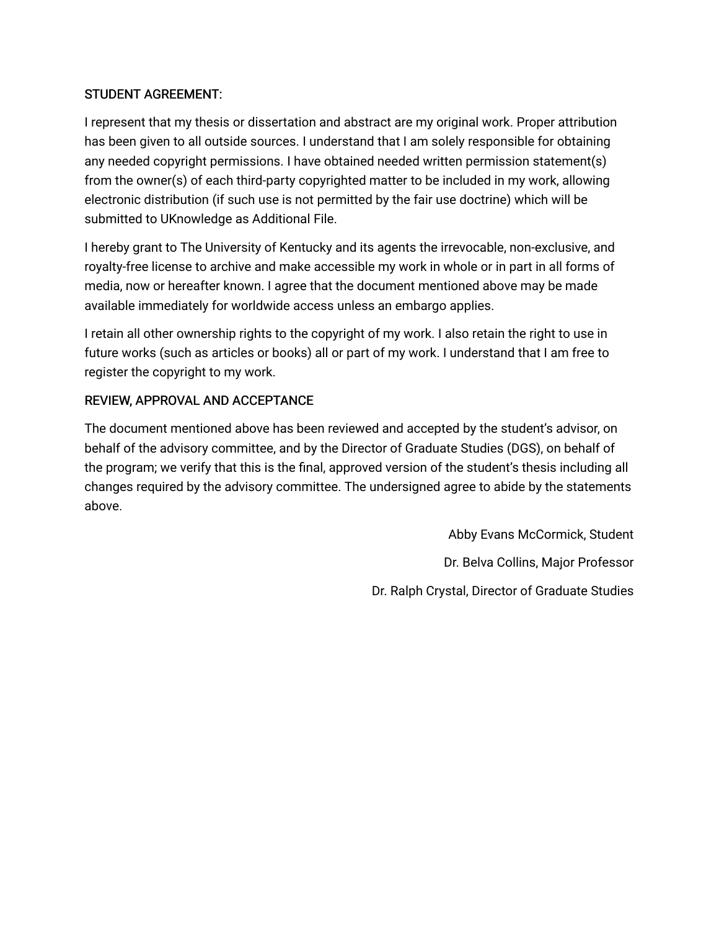### STUDENT AGREEMENT:

I represent that my thesis or dissertation and abstract are my original work. Proper attribution has been given to all outside sources. I understand that I am solely responsible for obtaining any needed copyright permissions. I have obtained needed written permission statement(s) from the owner(s) of each third-party copyrighted matter to be included in my work, allowing electronic distribution (if such use is not permitted by the fair use doctrine) which will be submitted to UKnowledge as Additional File.

I hereby grant to The University of Kentucky and its agents the irrevocable, non-exclusive, and royalty-free license to archive and make accessible my work in whole or in part in all forms of media, now or hereafter known. I agree that the document mentioned above may be made available immediately for worldwide access unless an embargo applies.

I retain all other ownership rights to the copyright of my work. I also retain the right to use in future works (such as articles or books) all or part of my work. I understand that I am free to register the copyright to my work.

### REVIEW, APPROVAL AND ACCEPTANCE

The document mentioned above has been reviewed and accepted by the student's advisor, on behalf of the advisory committee, and by the Director of Graduate Studies (DGS), on behalf of the program; we verify that this is the final, approved version of the student's thesis including all changes required by the advisory committee. The undersigned agree to abide by the statements above.

> Abby Evans McCormick, Student Dr. Belva Collins, Major Professor Dr. Ralph Crystal, Director of Graduate Studies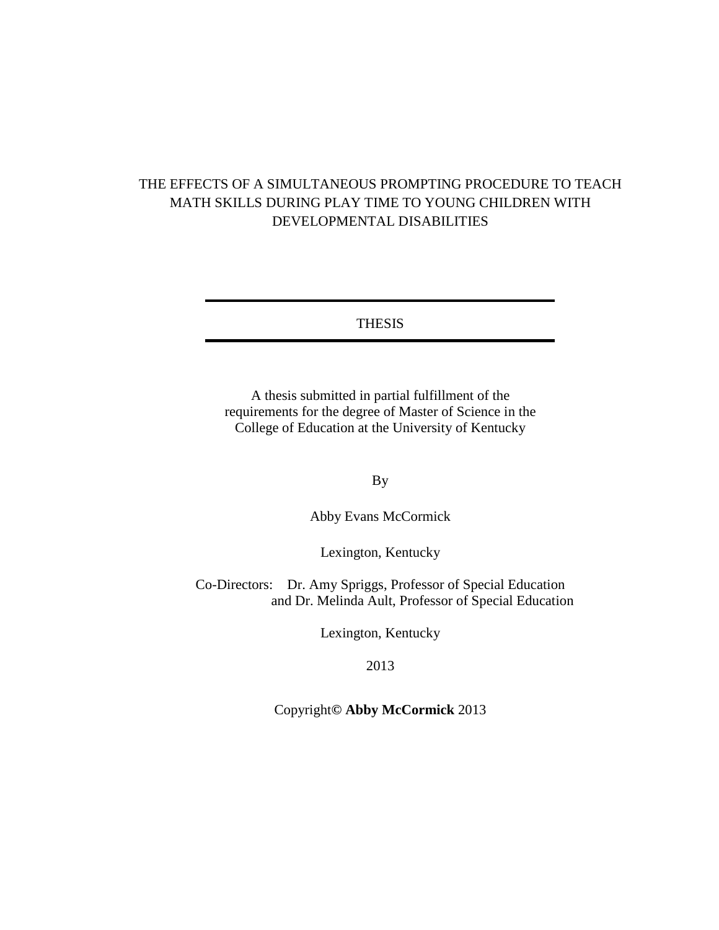# THE EFFECTS OF A SIMULTANEOUS PROMPTING PROCEDURE TO TEACH MATH SKILLS DURING PLAY TIME TO YOUNG CHILDREN WITH DEVELOPMENTAL DISABILITIES

### THESIS

A thesis submitted in partial fulfillment of the requirements for the degree of Master of Science in the College of Education at the University of Kentucky

By

Abby Evans McCormick

Lexington, Kentucky

Co-Directors: Dr. Amy Spriggs, Professor of Special Education and Dr. Melinda Ault, Professor of Special Education

Lexington, Kentucky

2013

### Copyright**© Abby McCormick** 2013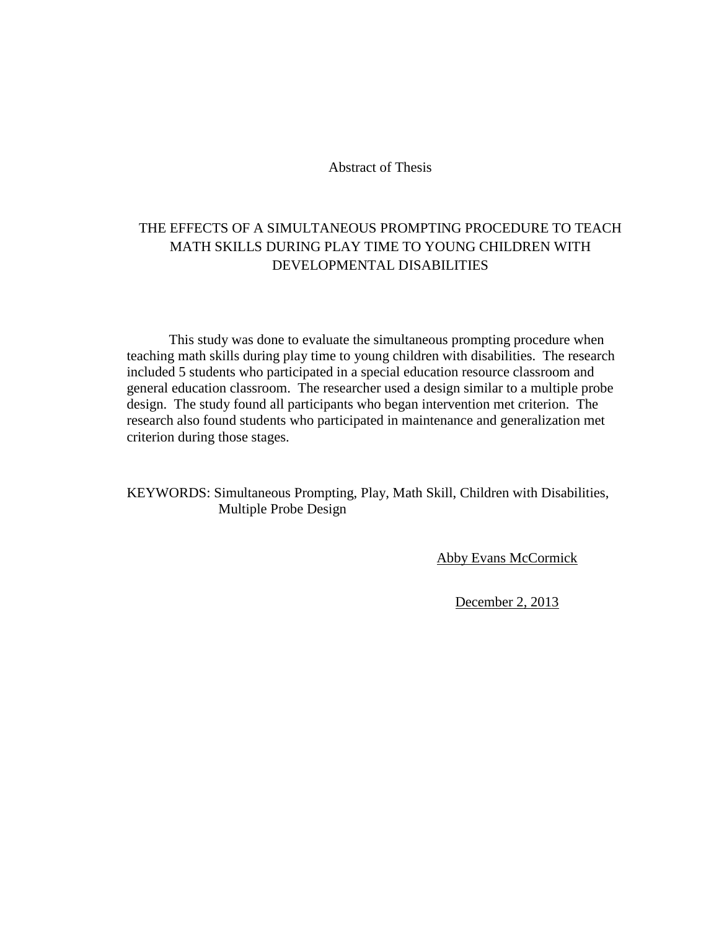Abstract of Thesis

# THE EFFECTS OF A SIMULTANEOUS PROMPTING PROCEDURE TO TEACH MATH SKILLS DURING PLAY TIME TO YOUNG CHILDREN WITH DEVELOPMENTAL DISABILITIES

This study was done to evaluate the simultaneous prompting procedure when teaching math skills during play time to young children with disabilities. The research included 5 students who participated in a special education resource classroom and general education classroom. The researcher used a design similar to a multiple probe design. The study found all participants who began intervention met criterion. The research also found students who participated in maintenance and generalization met criterion during those stages.

### KEYWORDS: Simultaneous Prompting, Play, Math Skill, Children with Disabilities, Multiple Probe Design

**Abby Evans McCormick** 

December 2, 2013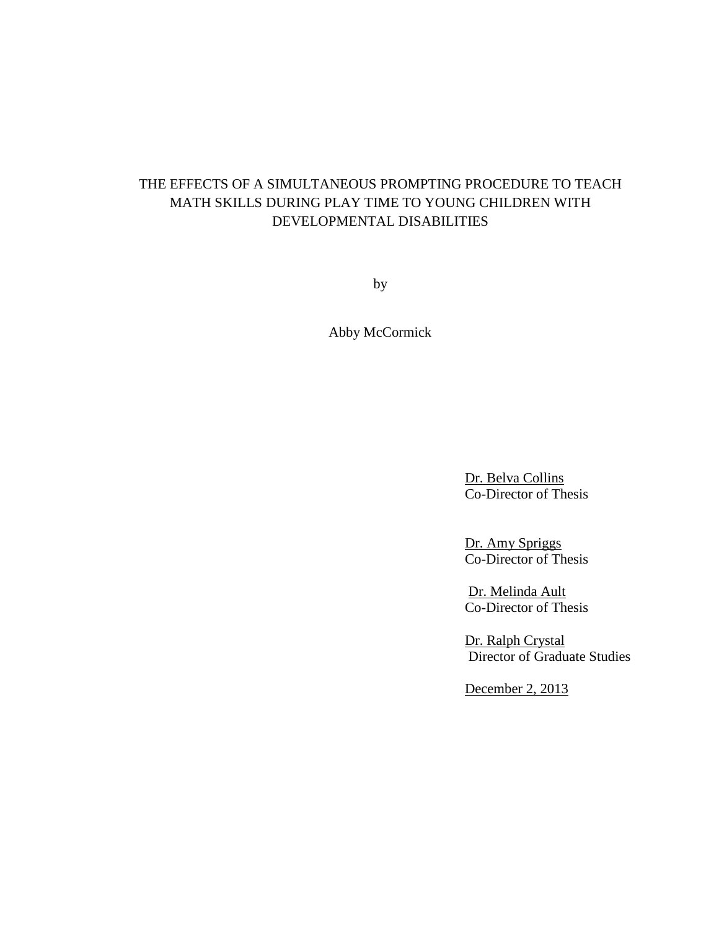# THE EFFECTS OF A SIMULTANEOUS PROMPTING PROCEDURE TO TEACH MATH SKILLS DURING PLAY TIME TO YOUNG CHILDREN WITH DEVELOPMENTAL DISABILITIES

by

Abby McCormick

Dr. Belva Collins Co-Director of Thesis

Dr. Amy Spriggs Co-Director of Thesis

Dr. Melinda Ault Co-Director of Thesis

Dr. Ralph Crystal Director of Graduate Studies

December 2, 2013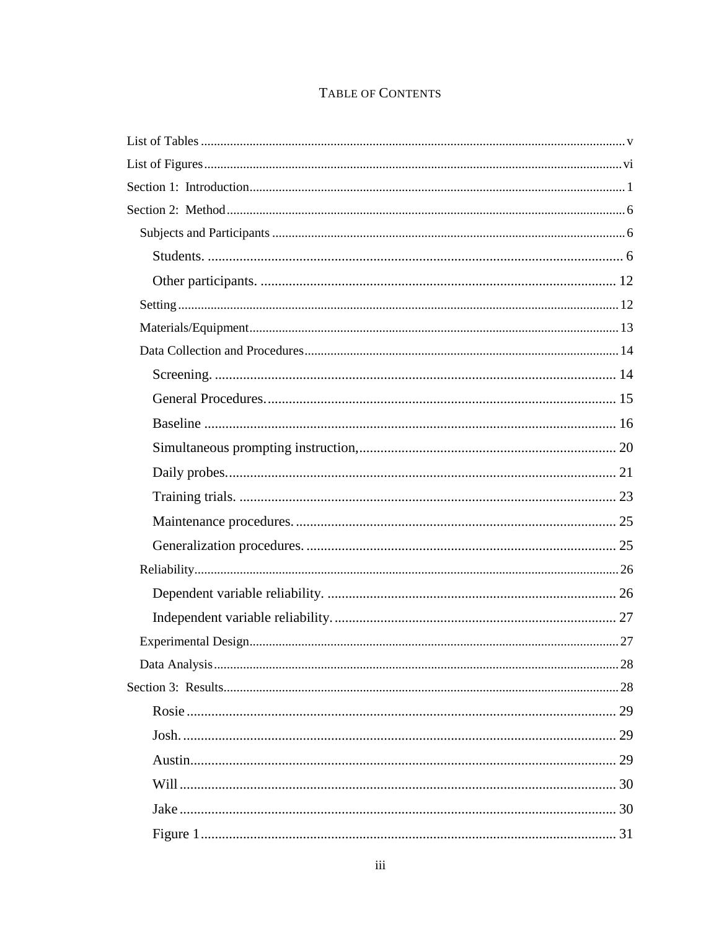# TABLE OF CONTENTS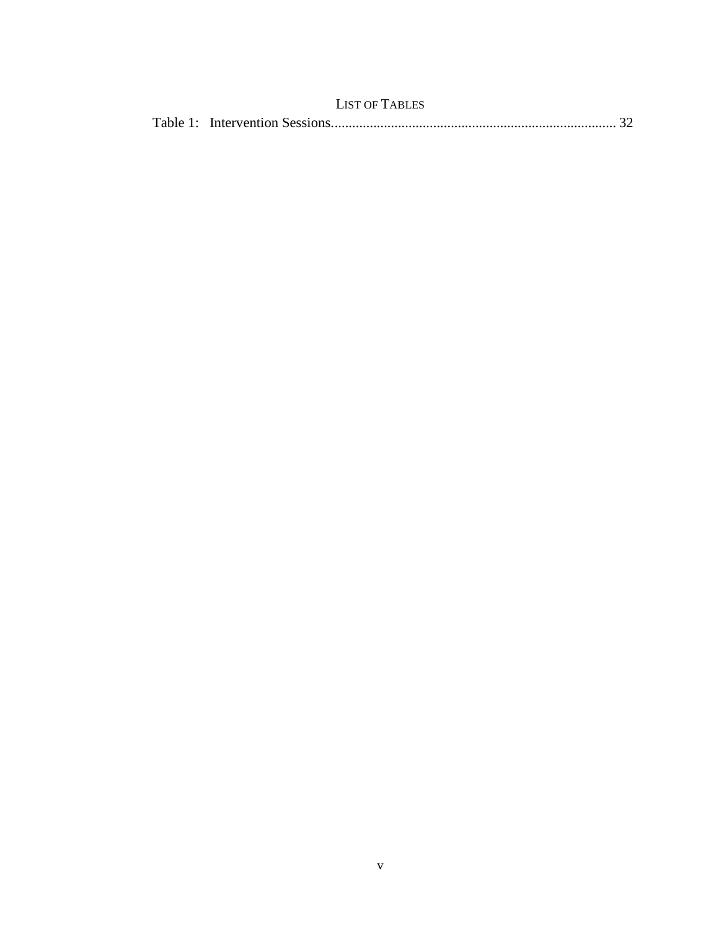<span id="page-7-0"></span>

| <b>LIST OF TABLES</b> |  |
|-----------------------|--|
|                       |  |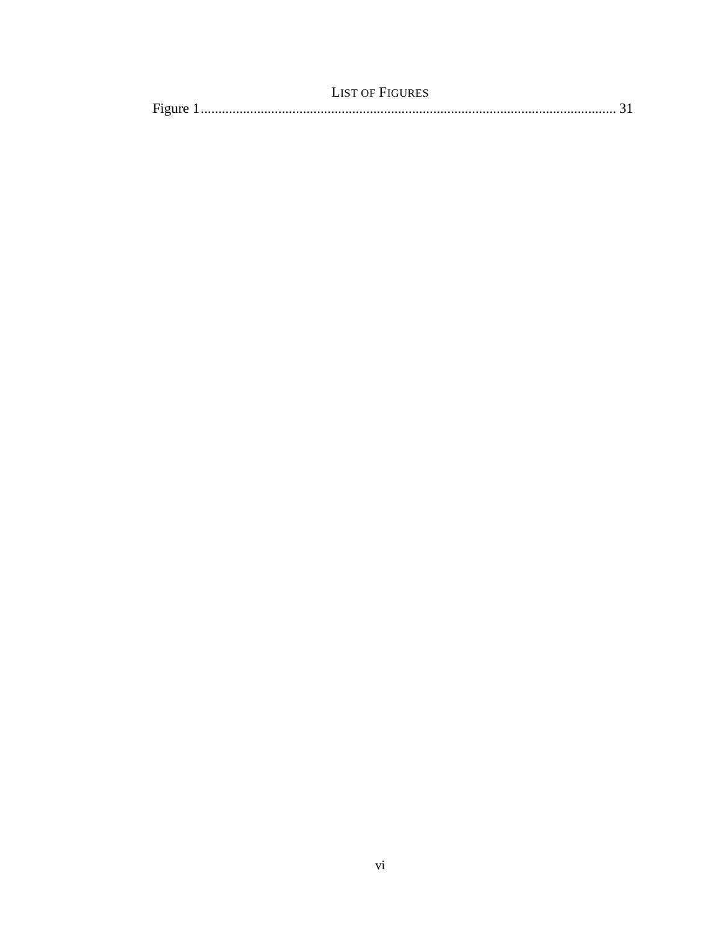<span id="page-8-0"></span>

| LIST OF FIGURES |  |
|-----------------|--|
|                 |  |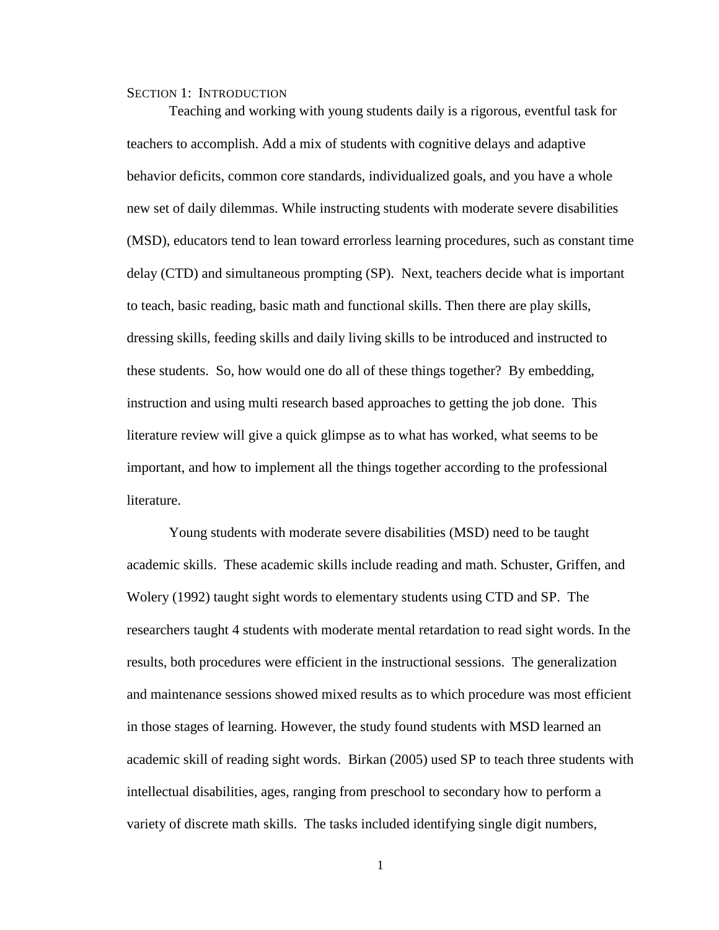#### <span id="page-9-0"></span>SECTION 1: INTRODUCTION

Teaching and working with young students daily is a rigorous, eventful task for teachers to accomplish. Add a mix of students with cognitive delays and adaptive behavior deficits, common core standards, individualized goals, and you have a whole new set of daily dilemmas. While instructing students with moderate severe disabilities (MSD), educators tend to lean toward errorless learning procedures, such as constant time delay (CTD) and simultaneous prompting (SP). Next, teachers decide what is important to teach, basic reading, basic math and functional skills. Then there are play skills, dressing skills, feeding skills and daily living skills to be introduced and instructed to these students. So, how would one do all of these things together? By embedding, instruction and using multi research based approaches to getting the job done. This literature review will give a quick glimpse as to what has worked, what seems to be important, and how to implement all the things together according to the professional literature.

Young students with moderate severe disabilities (MSD) need to be taught academic skills. These academic skills include reading and math. Schuster, Griffen, and Wolery (1992) taught sight words to elementary students using CTD and SP. The researchers taught 4 students with moderate mental retardation to read sight words. In the results, both procedures were efficient in the instructional sessions. The generalization and maintenance sessions showed mixed results as to which procedure was most efficient in those stages of learning. However, the study found students with MSD learned an academic skill of reading sight words. Birkan (2005) used SP to teach three students with intellectual disabilities, ages, ranging from preschool to secondary how to perform a variety of discrete math skills. The tasks included identifying single digit numbers,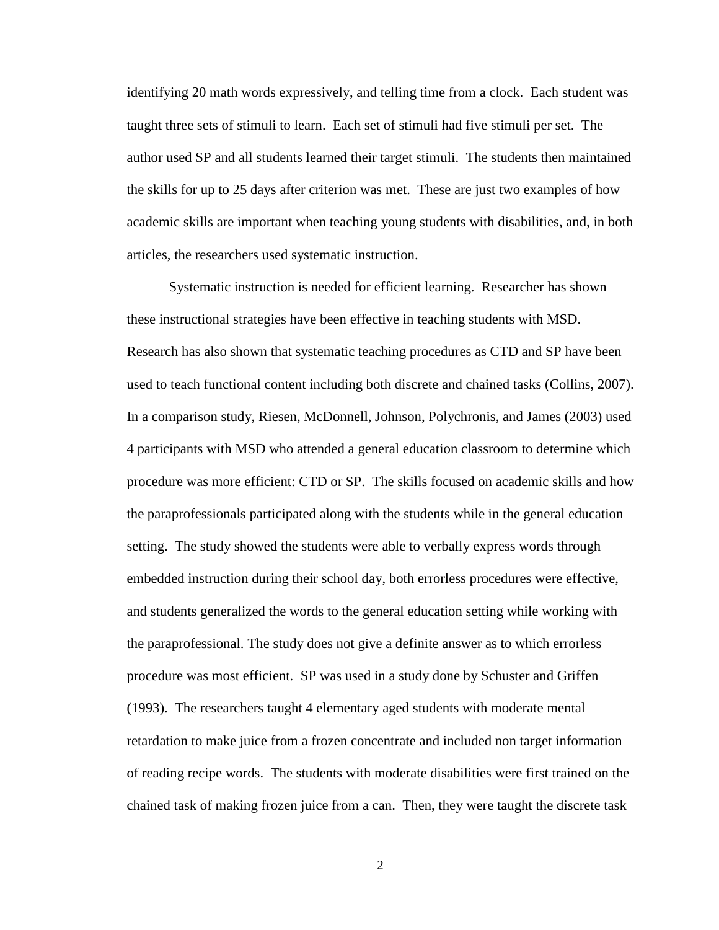identifying 20 math words expressively, and telling time from a clock. Each student was taught three sets of stimuli to learn. Each set of stimuli had five stimuli per set. The author used SP and all students learned their target stimuli. The students then maintained the skills for up to 25 days after criterion was met. These are just two examples of how academic skills are important when teaching young students with disabilities, and, in both articles, the researchers used systematic instruction.

Systematic instruction is needed for efficient learning. Researcher has shown these instructional strategies have been effective in teaching students with MSD. Research has also shown that systematic teaching procedures as CTD and SP have been used to teach functional content including both discrete and chained tasks (Collins, 2007). In a comparison study, Riesen, McDonnell, Johnson, Polychronis, and James (2003) used 4 participants with MSD who attended a general education classroom to determine which procedure was more efficient: CTD or SP. The skills focused on academic skills and how the paraprofessionals participated along with the students while in the general education setting. The study showed the students were able to verbally express words through embedded instruction during their school day, both errorless procedures were effective, and students generalized the words to the general education setting while working with the paraprofessional. The study does not give a definite answer as to which errorless procedure was most efficient. SP was used in a study done by Schuster and Griffen (1993). The researchers taught 4 elementary aged students with moderate mental retardation to make juice from a frozen concentrate and included non target information of reading recipe words. The students with moderate disabilities were first trained on the chained task of making frozen juice from a can. Then, they were taught the discrete task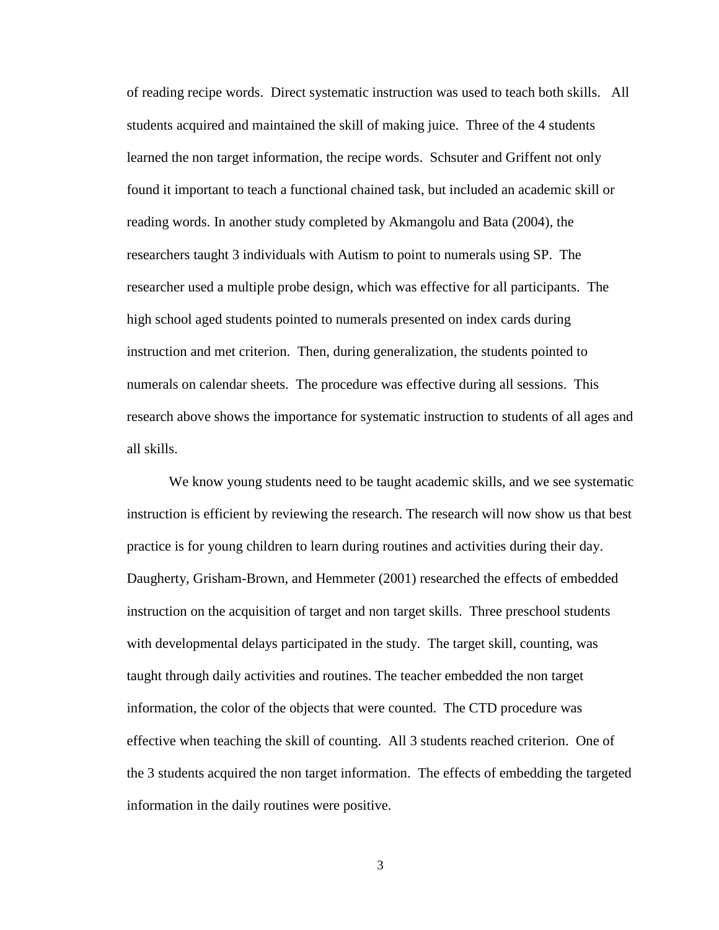of reading recipe words. Direct systematic instruction was used to teach both skills. All students acquired and maintained the skill of making juice. Three of the 4 students learned the non target information, the recipe words. Schsuter and Griffent not only found it important to teach a functional chained task, but included an academic skill or reading words. In another study completed by Akmangolu and Bata (2004), the researchers taught 3 individuals with Autism to point to numerals using SP. The researcher used a multiple probe design, which was effective for all participants. The high school aged students pointed to numerals presented on index cards during instruction and met criterion. Then, during generalization, the students pointed to numerals on calendar sheets. The procedure was effective during all sessions. This research above shows the importance for systematic instruction to students of all ages and all skills.

We know young students need to be taught academic skills, and we see systematic instruction is efficient by reviewing the research. The research will now show us that best practice is for young children to learn during routines and activities during their day. Daugherty, Grisham-Brown, and Hemmeter (2001) researched the effects of embedded instruction on the acquisition of target and non target skills. Three preschool students with developmental delays participated in the study. The target skill, counting, was taught through daily activities and routines. The teacher embedded the non target information, the color of the objects that were counted. The CTD procedure was effective when teaching the skill of counting. All 3 students reached criterion. One of the 3 students acquired the non target information. The effects of embedding the targeted information in the daily routines were positive.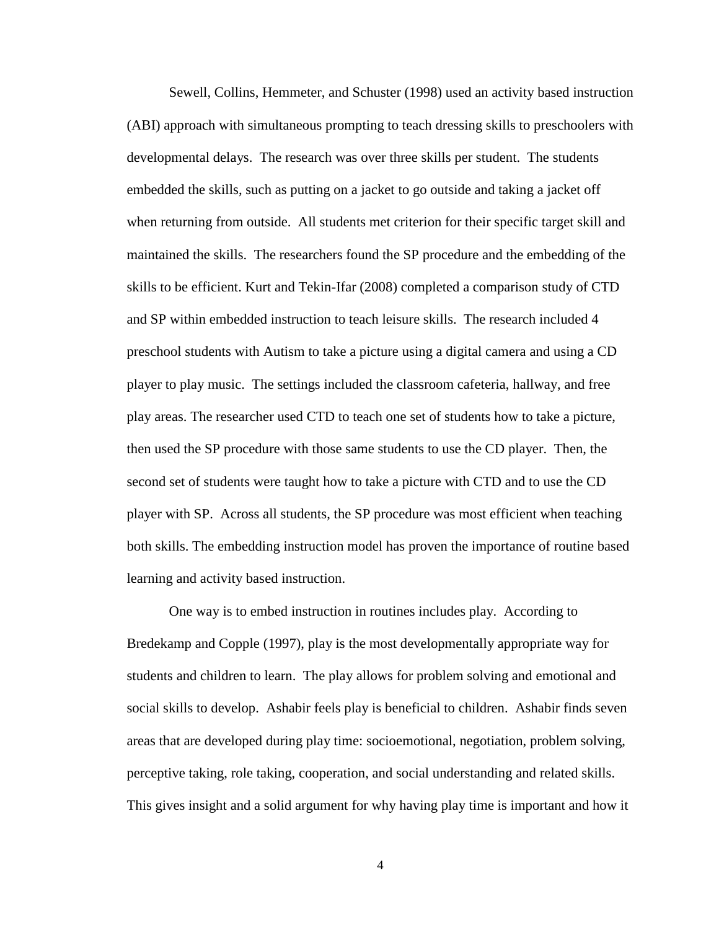Sewell, Collins, Hemmeter, and Schuster (1998) used an activity based instruction (ABI) approach with simultaneous prompting to teach dressing skills to preschoolers with developmental delays. The research was over three skills per student. The students embedded the skills, such as putting on a jacket to go outside and taking a jacket off when returning from outside. All students met criterion for their specific target skill and maintained the skills. The researchers found the SP procedure and the embedding of the skills to be efficient. Kurt and Tekin-Ifar (2008) completed a comparison study of CTD and SP within embedded instruction to teach leisure skills. The research included 4 preschool students with Autism to take a picture using a digital camera and using a CD player to play music. The settings included the classroom cafeteria, hallway, and free play areas. The researcher used CTD to teach one set of students how to take a picture, then used the SP procedure with those same students to use the CD player. Then, the second set of students were taught how to take a picture with CTD and to use the CD player with SP. Across all students, the SP procedure was most efficient when teaching both skills. The embedding instruction model has proven the importance of routine based learning and activity based instruction.

One way is to embed instruction in routines includes play. According to Bredekamp and Copple (1997), play is the most developmentally appropriate way for students and children to learn. The play allows for problem solving and emotional and social skills to develop. Ashabir feels play is beneficial to children. Ashabir finds seven areas that are developed during play time: socioemotional, negotiation, problem solving, perceptive taking, role taking, cooperation, and social understanding and related skills. This gives insight and a solid argument for why having play time is important and how it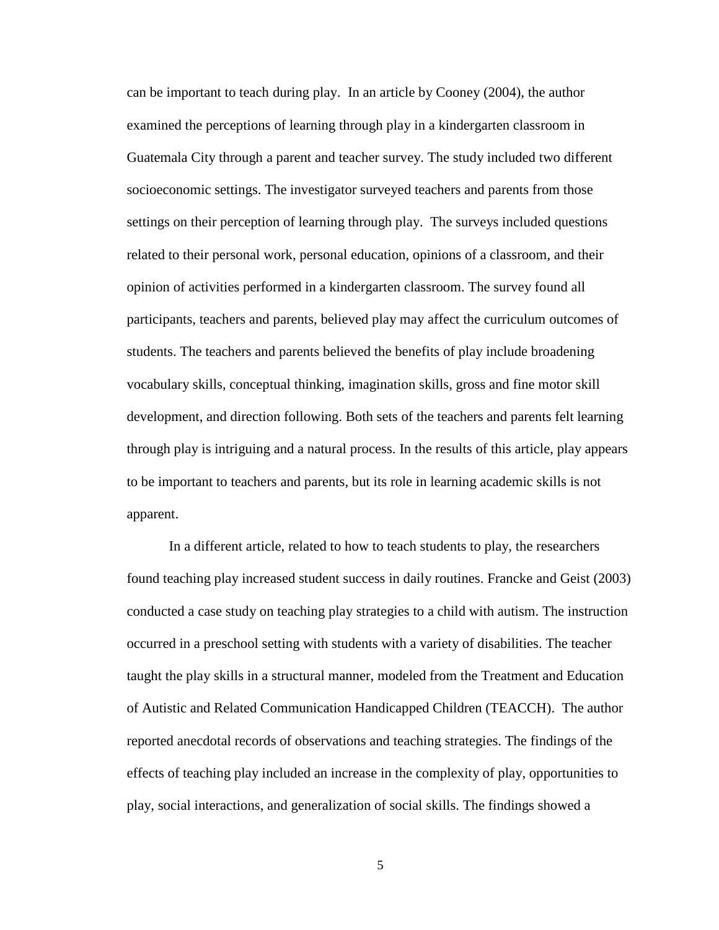can be important to teach during play. In an article by Cooney (2004), the author examined the perceptions of learning through play in a kindergarten classroom in Guatemala City through a parent and teacher survey. The study included two different socioeconomic settings. The investigator surveyed teachers and parents from those settings on their perception of learning through play. The surveys included questions related to their personal work, personal education, opinions of a classroom, and their opinion of activities performed in a kindergarten classroom. The survey found all participants, teachers and parents, believed play may affect the curriculum outcomes of students. The teachers and parents believed the benefits of play include broadening vocabulary skills, conceptual thinking, imagination skills, gross and fine motor skill development, and direction following. Both sets of the teachers and parents felt learning through play is intriguing and a natural process. In the results of this article, play appears to be important to teachers and parents, but its role in learning academic skills is not apparent.

In a different article, related to how to teach students to play, the researchers found teaching play increased student success in daily routines. Francke and Geist (2003) conducted a case study on teaching play strategies to a child with autism. The instruction occurred in a preschool setting with students with a variety of disabilities. The teacher taught the play skills in a structural manner, modeled from the Treatment and Education of Autistic and Related Communication Handicapped Children (TEACCH). The author reported anecdotal records of observations and teaching strategies. The findings of the effects of teaching play included an increase in the complexity of play, opportunities to play, social interactions, and generalization of social skills. The findings showed a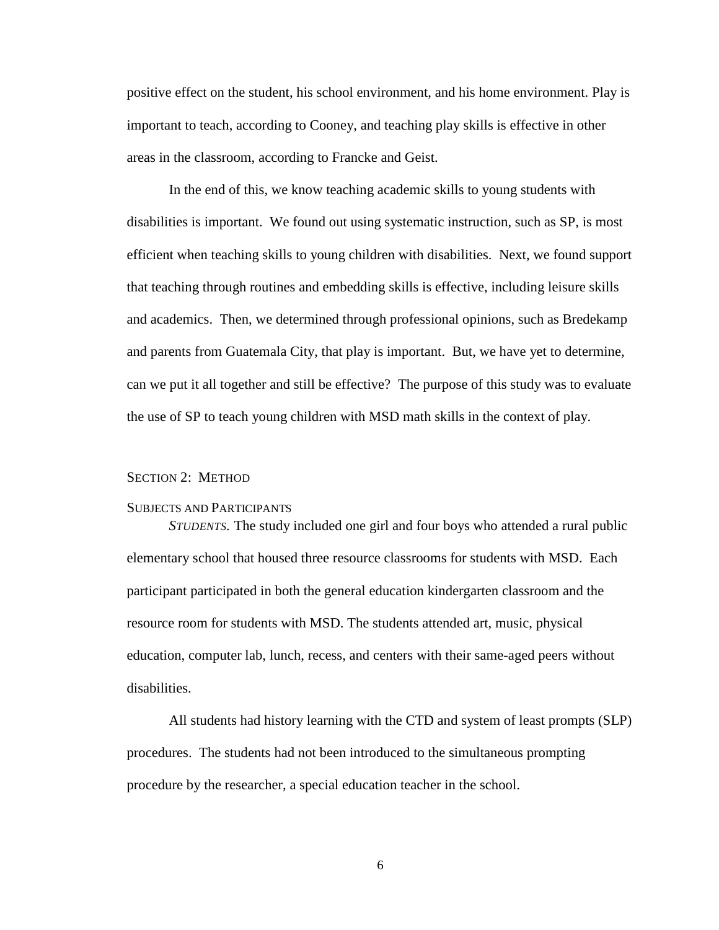positive effect on the student, his school environment, and his home environment. Play is important to teach, according to Cooney, and teaching play skills is effective in other areas in the classroom, according to Francke and Geist.

In the end of this, we know teaching academic skills to young students with disabilities is important. We found out using systematic instruction, such as SP, is most efficient when teaching skills to young children with disabilities. Next, we found support that teaching through routines and embedding skills is effective, including leisure skills and academics. Then, we determined through professional opinions, such as Bredekamp and parents from Guatemala City, that play is important. But, we have yet to determine, can we put it all together and still be effective? The purpose of this study was to evaluate the use of SP to teach young children with MSD math skills in the context of play.

#### <span id="page-14-0"></span>SECTION 2: METHOD

#### <span id="page-14-1"></span>SUBJECTS AND PARTICIPANTS

<span id="page-14-2"></span>*STUDENTS.* The study included one girl and four boys who attended a rural public elementary school that housed three resource classrooms for students with MSD. Each participant participated in both the general education kindergarten classroom and the resource room for students with MSD. The students attended art, music, physical education, computer lab, lunch, recess, and centers with their same-aged peers without disabilities.

All students had history learning with the CTD and system of least prompts (SLP) procedures. The students had not been introduced to the simultaneous prompting procedure by the researcher, a special education teacher in the school.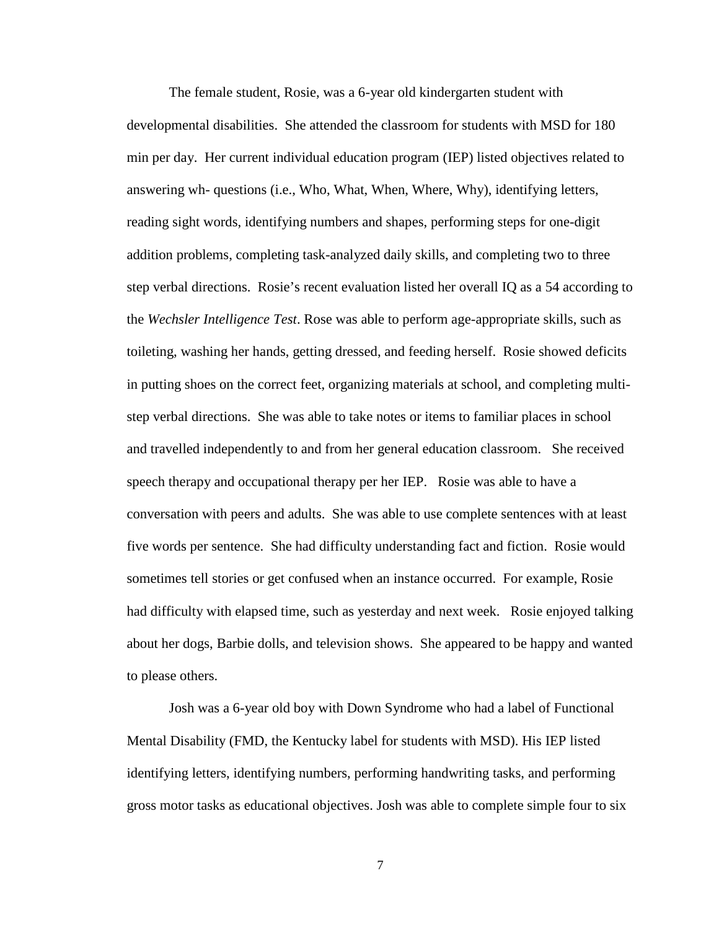The female student, Rosie, was a 6-year old kindergarten student with developmental disabilities. She attended the classroom for students with MSD for 180 min per day. Her current individual education program (IEP) listed objectives related to answering wh- questions (i.e., Who, What, When, Where, Why), identifying letters, reading sight words, identifying numbers and shapes, performing steps for one-digit addition problems, completing task-analyzed daily skills, and completing two to three step verbal directions. Rosie's recent evaluation listed her overall IQ as a 54 according to the *Wechsler Intelligence Test*. Rose was able to perform age-appropriate skills, such as toileting, washing her hands, getting dressed, and feeding herself. Rosie showed deficits in putting shoes on the correct feet, organizing materials at school, and completing multistep verbal directions. She was able to take notes or items to familiar places in school and travelled independently to and from her general education classroom. She received speech therapy and occupational therapy per her IEP. Rosie was able to have a conversation with peers and adults. She was able to use complete sentences with at least five words per sentence. She had difficulty understanding fact and fiction. Rosie would sometimes tell stories or get confused when an instance occurred. For example, Rosie had difficulty with elapsed time, such as yesterday and next week. Rosie enjoyed talking about her dogs, Barbie dolls, and television shows. She appeared to be happy and wanted to please others.

Josh was a 6-year old boy with Down Syndrome who had a label of Functional Mental Disability (FMD, the Kentucky label for students with MSD). His IEP listed identifying letters, identifying numbers, performing handwriting tasks, and performing gross motor tasks as educational objectives. Josh was able to complete simple four to six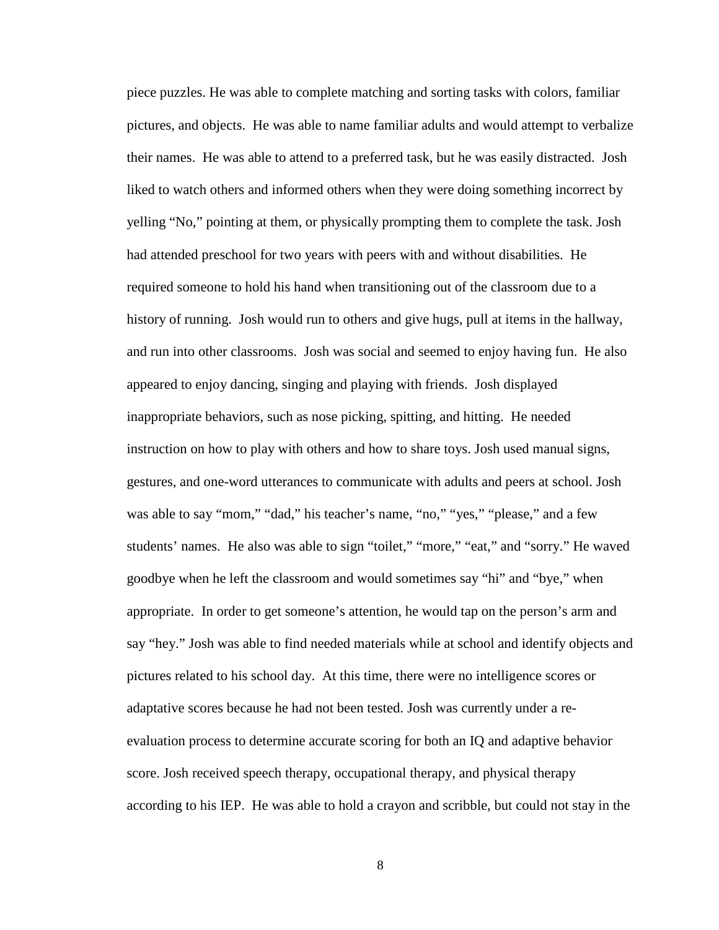piece puzzles. He was able to complete matching and sorting tasks with colors, familiar pictures, and objects. He was able to name familiar adults and would attempt to verbalize their names. He was able to attend to a preferred task, but he was easily distracted. Josh liked to watch others and informed others when they were doing something incorrect by yelling "No," pointing at them, or physically prompting them to complete the task. Josh had attended preschool for two years with peers with and without disabilities. He required someone to hold his hand when transitioning out of the classroom due to a history of running. Josh would run to others and give hugs, pull at items in the hallway, and run into other classrooms. Josh was social and seemed to enjoy having fun. He also appeared to enjoy dancing, singing and playing with friends. Josh displayed inappropriate behaviors, such as nose picking, spitting, and hitting. He needed instruction on how to play with others and how to share toys. Josh used manual signs, gestures, and one-word utterances to communicate with adults and peers at school. Josh was able to say "mom," "dad," his teacher's name, "no," "yes," "please," and a few students' names. He also was able to sign "toilet," "more," "eat," and "sorry." He waved goodbye when he left the classroom and would sometimes say "hi" and "bye," when appropriate. In order to get someone's attention, he would tap on the person's arm and say "hey." Josh was able to find needed materials while at school and identify objects and pictures related to his school day. At this time, there were no intelligence scores or adaptative scores because he had not been tested. Josh was currently under a reevaluation process to determine accurate scoring for both an IQ and adaptive behavior score. Josh received speech therapy, occupational therapy, and physical therapy according to his IEP. He was able to hold a crayon and scribble, but could not stay in the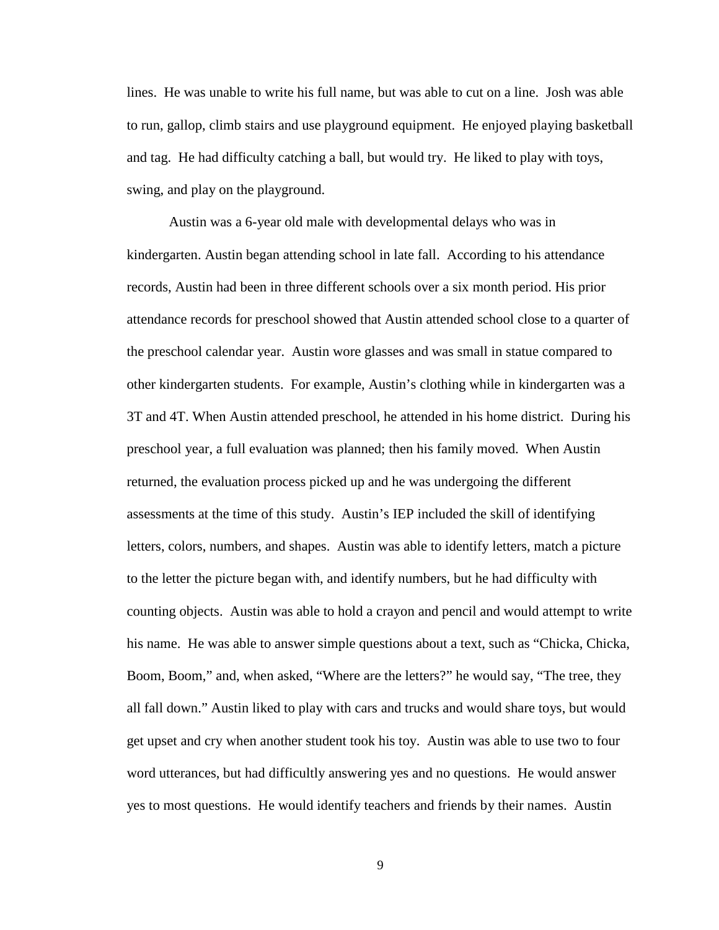lines. He was unable to write his full name, but was able to cut on a line. Josh was able to run, gallop, climb stairs and use playground equipment. He enjoyed playing basketball and tag. He had difficulty catching a ball, but would try. He liked to play with toys, swing, and play on the playground.

Austin was a 6-year old male with developmental delays who was in kindergarten. Austin began attending school in late fall. According to his attendance records, Austin had been in three different schools over a six month period. His prior attendance records for preschool showed that Austin attended school close to a quarter of the preschool calendar year. Austin wore glasses and was small in statue compared to other kindergarten students. For example, Austin's clothing while in kindergarten was a 3T and 4T. When Austin attended preschool, he attended in his home district. During his preschool year, a full evaluation was planned; then his family moved. When Austin returned, the evaluation process picked up and he was undergoing the different assessments at the time of this study. Austin's IEP included the skill of identifying letters, colors, numbers, and shapes. Austin was able to identify letters, match a picture to the letter the picture began with, and identify numbers, but he had difficulty with counting objects. Austin was able to hold a crayon and pencil and would attempt to write his name. He was able to answer simple questions about a text, such as "Chicka, Chicka, Boom, Boom," and, when asked, "Where are the letters?" he would say, "The tree, they all fall down." Austin liked to play with cars and trucks and would share toys, but would get upset and cry when another student took his toy. Austin was able to use two to four word utterances, but had difficultly answering yes and no questions. He would answer yes to most questions. He would identify teachers and friends by their names. Austin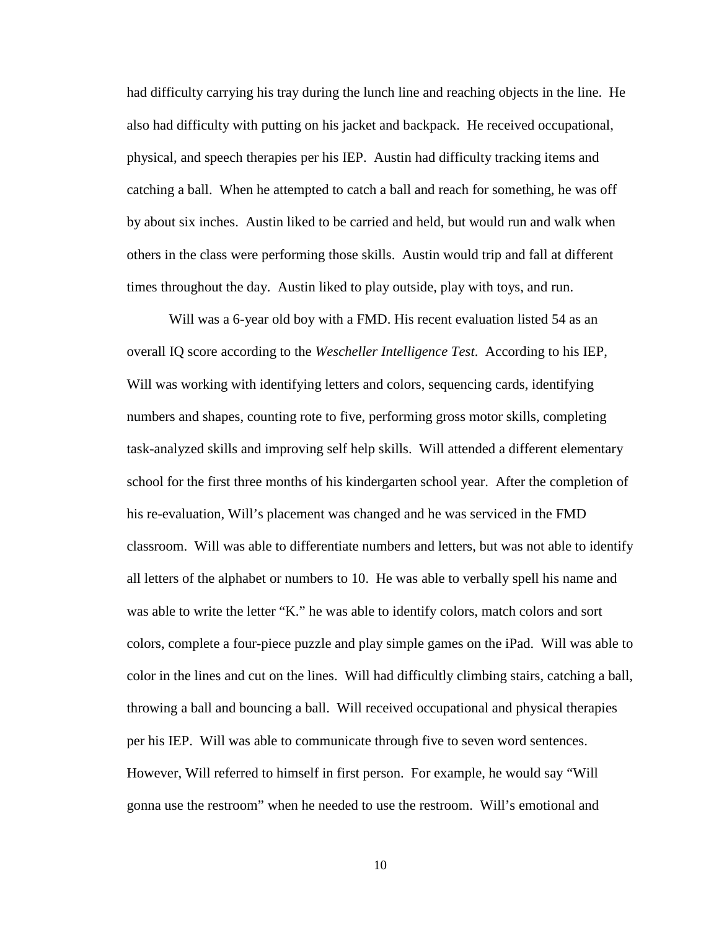had difficulty carrying his tray during the lunch line and reaching objects in the line. He also had difficulty with putting on his jacket and backpack. He received occupational, physical, and speech therapies per his IEP. Austin had difficulty tracking items and catching a ball. When he attempted to catch a ball and reach for something, he was off by about six inches. Austin liked to be carried and held, but would run and walk when others in the class were performing those skills. Austin would trip and fall at different times throughout the day. Austin liked to play outside, play with toys, and run.

Will was a 6-year old boy with a FMD. His recent evaluation listed 54 as an overall IQ score according to the *Wescheller Intelligence Test*. According to his IEP, Will was working with identifying letters and colors, sequencing cards, identifying numbers and shapes, counting rote to five, performing gross motor skills, completing task-analyzed skills and improving self help skills. Will attended a different elementary school for the first three months of his kindergarten school year. After the completion of his re-evaluation, Will's placement was changed and he was serviced in the FMD classroom. Will was able to differentiate numbers and letters, but was not able to identify all letters of the alphabet or numbers to 10. He was able to verbally spell his name and was able to write the letter "K." he was able to identify colors, match colors and sort colors, complete a four-piece puzzle and play simple games on the iPad. Will was able to color in the lines and cut on the lines. Will had difficultly climbing stairs, catching a ball, throwing a ball and bouncing a ball. Will received occupational and physical therapies per his IEP. Will was able to communicate through five to seven word sentences. However, Will referred to himself in first person. For example, he would say "Will gonna use the restroom" when he needed to use the restroom. Will's emotional and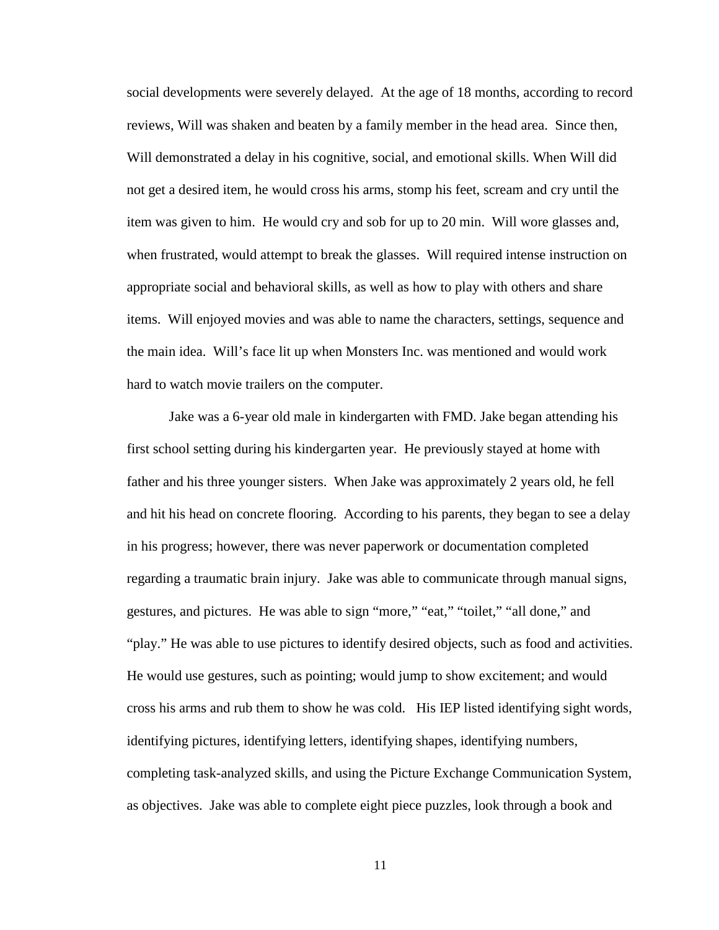social developments were severely delayed. At the age of 18 months, according to record reviews, Will was shaken and beaten by a family member in the head area. Since then, Will demonstrated a delay in his cognitive, social, and emotional skills. When Will did not get a desired item, he would cross his arms, stomp his feet, scream and cry until the item was given to him. He would cry and sob for up to 20 min. Will wore glasses and, when frustrated, would attempt to break the glasses. Will required intense instruction on appropriate social and behavioral skills, as well as how to play with others and share items. Will enjoyed movies and was able to name the characters, settings, sequence and the main idea. Will's face lit up when Monsters Inc. was mentioned and would work hard to watch movie trailers on the computer.

Jake was a 6-year old male in kindergarten with FMD. Jake began attending his first school setting during his kindergarten year. He previously stayed at home with father and his three younger sisters. When Jake was approximately 2 years old, he fell and hit his head on concrete flooring. According to his parents, they began to see a delay in his progress; however, there was never paperwork or documentation completed regarding a traumatic brain injury. Jake was able to communicate through manual signs, gestures, and pictures. He was able to sign "more," "eat," "toilet," "all done," and "play." He was able to use pictures to identify desired objects, such as food and activities. He would use gestures, such as pointing; would jump to show excitement; and would cross his arms and rub them to show he was cold. His IEP listed identifying sight words, identifying pictures, identifying letters, identifying shapes, identifying numbers, completing task-analyzed skills, and using the Picture Exchange Communication System, as objectives. Jake was able to complete eight piece puzzles, look through a book and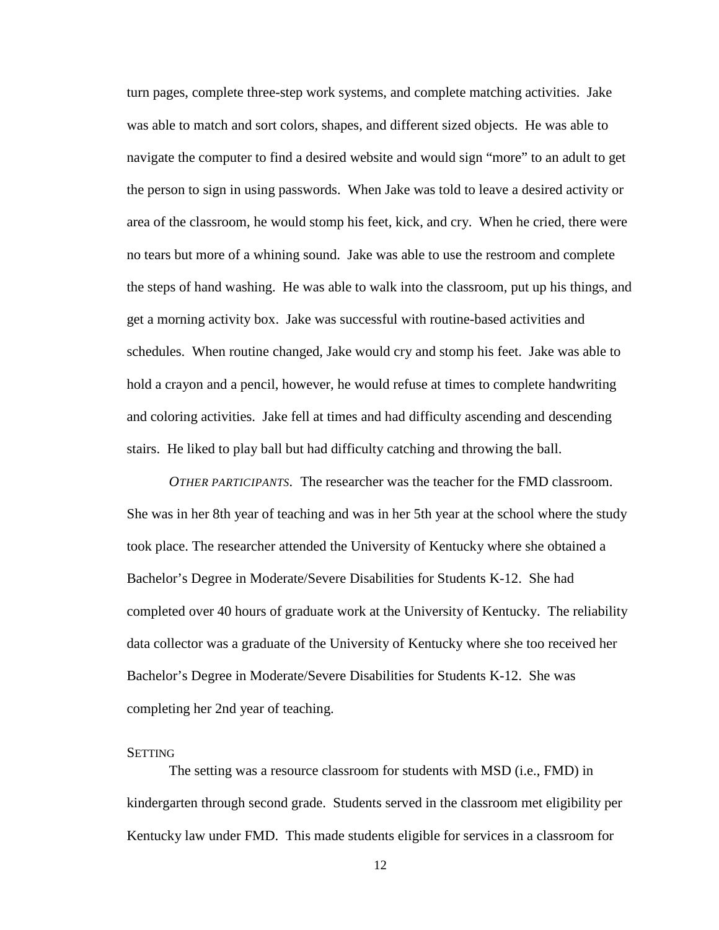turn pages, complete three-step work systems, and complete matching activities. Jake was able to match and sort colors, shapes, and different sized objects. He was able to navigate the computer to find a desired website and would sign "more" to an adult to get the person to sign in using passwords. When Jake was told to leave a desired activity or area of the classroom, he would stomp his feet, kick, and cry. When he cried, there were no tears but more of a whining sound. Jake was able to use the restroom and complete the steps of hand washing. He was able to walk into the classroom, put up his things, and get a morning activity box. Jake was successful with routine-based activities and schedules. When routine changed, Jake would cry and stomp his feet. Jake was able to hold a crayon and a pencil, however, he would refuse at times to complete handwriting and coloring activities. Jake fell at times and had difficulty ascending and descending stairs. He liked to play ball but had difficulty catching and throwing the ball.

<span id="page-20-0"></span>*OTHER PARTICIPANTS.* The researcher was the teacher for the FMD classroom. She was in her 8th year of teaching and was in her 5th year at the school where the study took place. The researcher attended the University of Kentucky where she obtained a Bachelor's Degree in Moderate/Severe Disabilities for Students K-12. She had completed over 40 hours of graduate work at the University of Kentucky. The reliability data collector was a graduate of the University of Kentucky where she too received her Bachelor's Degree in Moderate/Severe Disabilities for Students K-12. She was completing her 2nd year of teaching.

#### <span id="page-20-1"></span>**SETTING**

The setting was a resource classroom for students with MSD (i.e., FMD) in kindergarten through second grade. Students served in the classroom met eligibility per Kentucky law under FMD. This made students eligible for services in a classroom for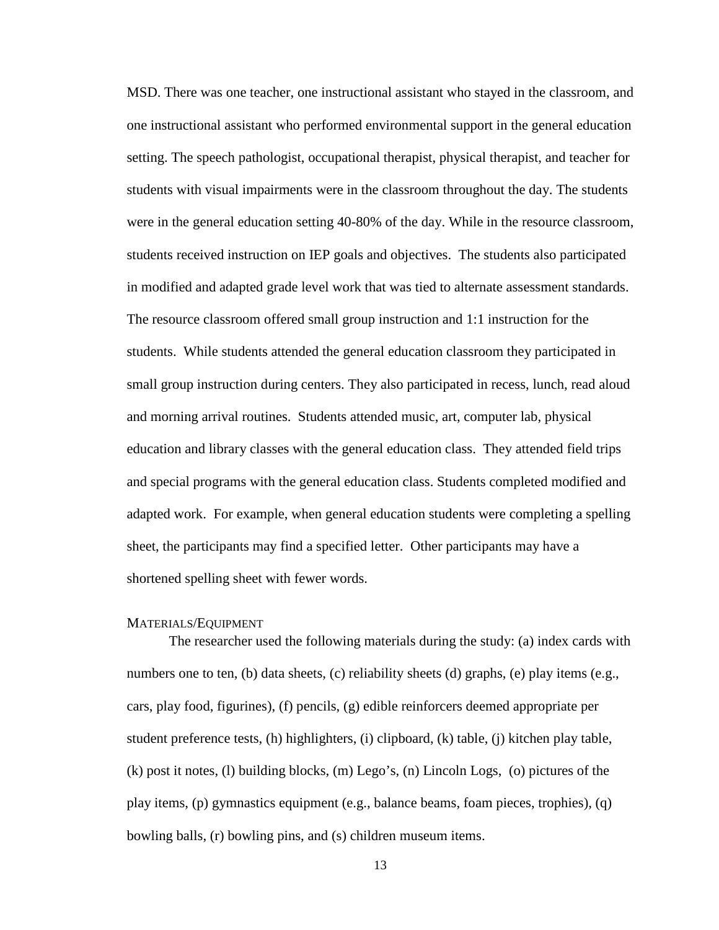MSD. There was one teacher, one instructional assistant who stayed in the classroom, and one instructional assistant who performed environmental support in the general education setting. The speech pathologist, occupational therapist, physical therapist, and teacher for students with visual impairments were in the classroom throughout the day. The students were in the general education setting 40-80% of the day. While in the resource classroom, students received instruction on IEP goals and objectives. The students also participated in modified and adapted grade level work that was tied to alternate assessment standards. The resource classroom offered small group instruction and 1:1 instruction for the students. While students attended the general education classroom they participated in small group instruction during centers. They also participated in recess, lunch, read aloud and morning arrival routines. Students attended music, art, computer lab, physical education and library classes with the general education class. They attended field trips and special programs with the general education class. Students completed modified and adapted work. For example, when general education students were completing a spelling sheet, the participants may find a specified letter. Other participants may have a shortened spelling sheet with fewer words.

#### <span id="page-21-0"></span>MATERIALS/EQUIPMENT

The researcher used the following materials during the study: (a) index cards with numbers one to ten, (b) data sheets, (c) reliability sheets (d) graphs, (e) play items (e.g., cars, play food, figurines), (f) pencils, (g) edible reinforcers deemed appropriate per student preference tests, (h) highlighters, (i) clipboard, (k) table, (j) kitchen play table, (k) post it notes, (l) building blocks, (m) Lego's, (n) Lincoln Logs, (o) pictures of the play items, (p) gymnastics equipment (e.g., balance beams, foam pieces, trophies), (q) bowling balls, (r) bowling pins, and (s) children museum items.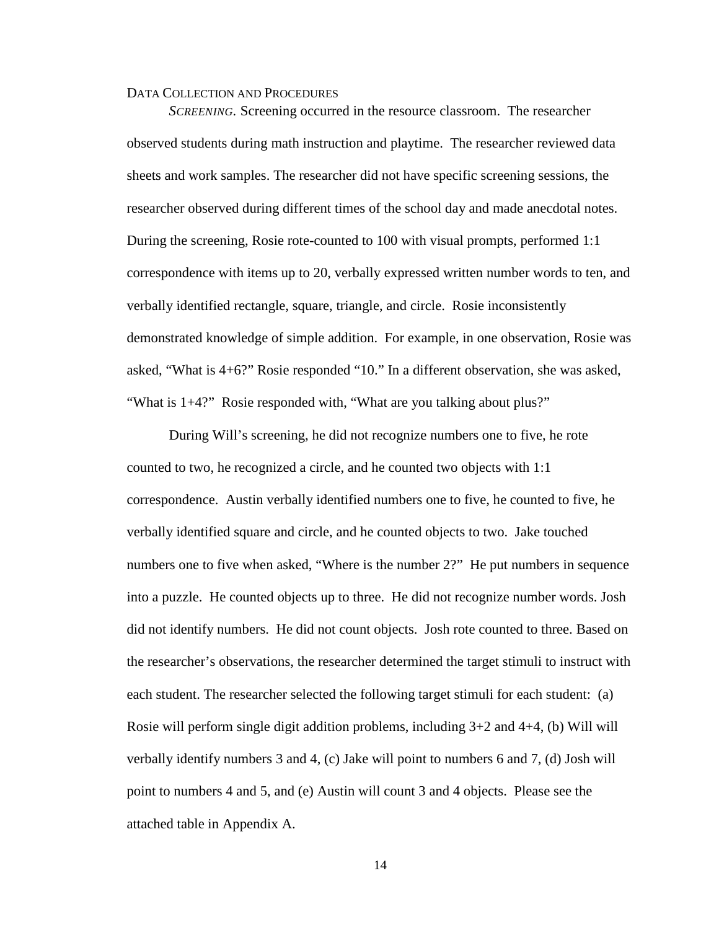#### <span id="page-22-0"></span>DATA COLLECTION AND PROCEDURES

<span id="page-22-1"></span>*SCREENING.* Screening occurred in the resource classroom. The researcher observed students during math instruction and playtime. The researcher reviewed data sheets and work samples. The researcher did not have specific screening sessions, the researcher observed during different times of the school day and made anecdotal notes. During the screening, Rosie rote-counted to 100 with visual prompts, performed 1:1 correspondence with items up to 20, verbally expressed written number words to ten, and verbally identified rectangle, square, triangle, and circle. Rosie inconsistently demonstrated knowledge of simple addition. For example, in one observation, Rosie was asked, "What is 4+6?" Rosie responded "10." In a different observation, she was asked, "What is 1+4?" Rosie responded with, "What are you talking about plus?"

During Will's screening, he did not recognize numbers one to five, he rote counted to two, he recognized a circle, and he counted two objects with 1:1 correspondence. Austin verbally identified numbers one to five, he counted to five, he verbally identified square and circle, and he counted objects to two. Jake touched numbers one to five when asked, "Where is the number 2?" He put numbers in sequence into a puzzle. He counted objects up to three. He did not recognize number words. Josh did not identify numbers. He did not count objects. Josh rote counted to three. Based on the researcher's observations, the researcher determined the target stimuli to instruct with each student. The researcher selected the following target stimuli for each student: (a) Rosie will perform single digit addition problems, including  $3+2$  and  $4+4$ , (b) Will will verbally identify numbers 3 and 4, (c) Jake will point to numbers 6 and 7, (d) Josh will point to numbers 4 and 5, and (e) Austin will count 3 and 4 objects. Please see the attached table in Appendix A.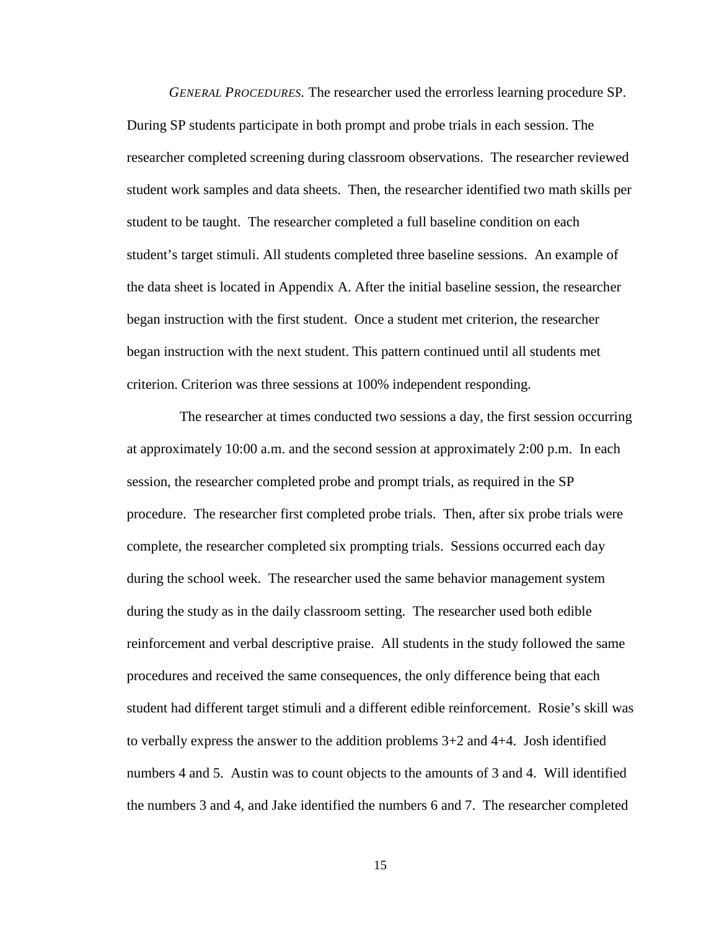<span id="page-23-0"></span>*GENERAL PROCEDURES.* The researcher used the errorless learning procedure SP. During SP students participate in both prompt and probe trials in each session. The researcher completed screening during classroom observations. The researcher reviewed student work samples and data sheets. Then, the researcher identified two math skills per student to be taught. The researcher completed a full baseline condition on each student's target stimuli. All students completed three baseline sessions. An example of the data sheet is located in Appendix A. After the initial baseline session, the researcher began instruction with the first student. Once a student met criterion, the researcher began instruction with the next student. This pattern continued until all students met criterion. Criterion was three sessions at 100% independent responding.

 The researcher at times conducted two sessions a day, the first session occurring at approximately 10:00 a.m. and the second session at approximately 2:00 p.m. In each session, the researcher completed probe and prompt trials, as required in the SP procedure. The researcher first completed probe trials. Then, after six probe trials were complete, the researcher completed six prompting trials. Sessions occurred each day during the school week. The researcher used the same behavior management system during the study as in the daily classroom setting. The researcher used both edible reinforcement and verbal descriptive praise. All students in the study followed the same procedures and received the same consequences, the only difference being that each student had different target stimuli and a different edible reinforcement. Rosie's skill was to verbally express the answer to the addition problems 3+2 and 4+4. Josh identified numbers 4 and 5. Austin was to count objects to the amounts of 3 and 4. Will identified the numbers 3 and 4, and Jake identified the numbers 6 and 7. The researcher completed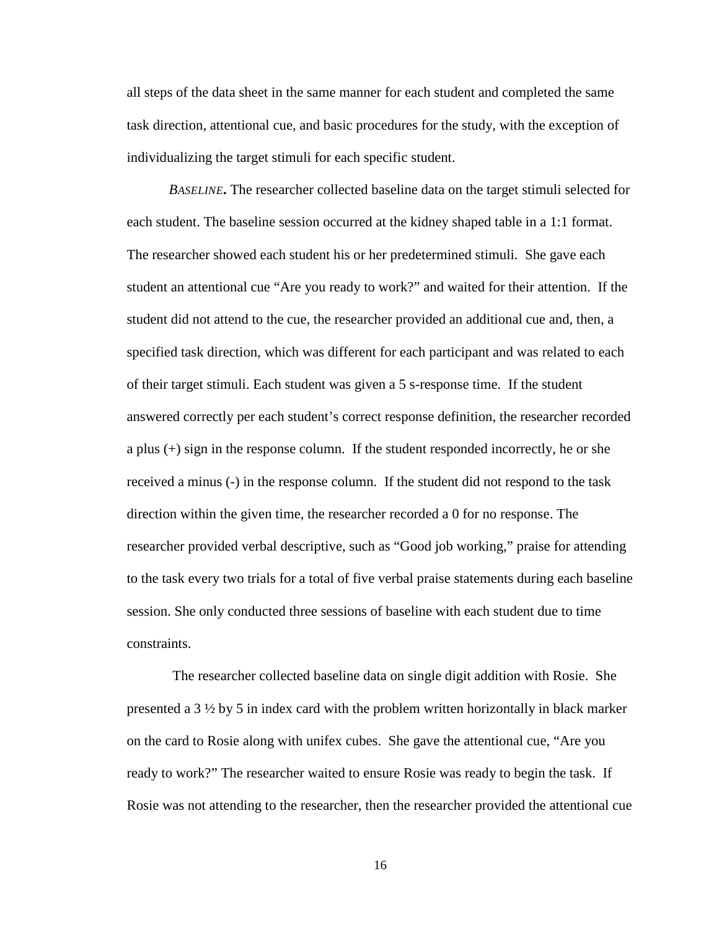all steps of the data sheet in the same manner for each student and completed the same task direction, attentional cue, and basic procedures for the study, with the exception of individualizing the target stimuli for each specific student.

<span id="page-24-0"></span>*BASELINE***.** The researcher collected baseline data on the target stimuli selected for each student. The baseline session occurred at the kidney shaped table in a 1:1 format. The researcher showed each student his or her predetermined stimuli. She gave each student an attentional cue "Are you ready to work?" and waited for their attention. If the student did not attend to the cue, the researcher provided an additional cue and, then, a specified task direction, which was different for each participant and was related to each of their target stimuli. Each student was given a 5 s-response time. If the student answered correctly per each student's correct response definition, the researcher recorded a plus (+) sign in the response column. If the student responded incorrectly, he or she received a minus (-) in the response column. If the student did not respond to the task direction within the given time, the researcher recorded a 0 for no response. The researcher provided verbal descriptive, such as "Good job working," praise for attending to the task every two trials for a total of five verbal praise statements during each baseline session. She only conducted three sessions of baseline with each student due to time constraints.

The researcher collected baseline data on single digit addition with Rosie. She presented a 3 ½ by 5 in index card with the problem written horizontally in black marker on the card to Rosie along with unifex cubes. She gave the attentional cue, "Are you ready to work?" The researcher waited to ensure Rosie was ready to begin the task. If Rosie was not attending to the researcher, then the researcher provided the attentional cue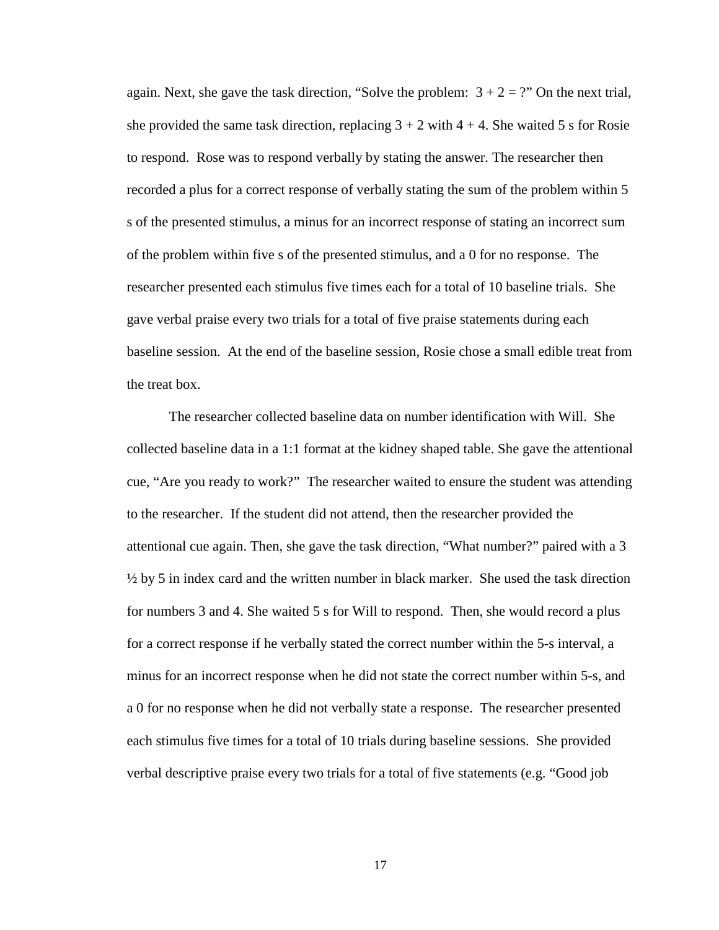again. Next, she gave the task direction, "Solve the problem:  $3 + 2 =$ ?" On the next trial, she provided the same task direction, replacing  $3 + 2$  with  $4 + 4$ . She waited 5 s for Rosie to respond. Rose was to respond verbally by stating the answer. The researcher then recorded a plus for a correct response of verbally stating the sum of the problem within 5 s of the presented stimulus, a minus for an incorrect response of stating an incorrect sum of the problem within five s of the presented stimulus, and a 0 for no response. The researcher presented each stimulus five times each for a total of 10 baseline trials. She gave verbal praise every two trials for a total of five praise statements during each baseline session. At the end of the baseline session, Rosie chose a small edible treat from the treat box.

The researcher collected baseline data on number identification with Will. She collected baseline data in a 1:1 format at the kidney shaped table. She gave the attentional cue, "Are you ready to work?" The researcher waited to ensure the student was attending to the researcher. If the student did not attend, then the researcher provided the attentional cue again. Then, she gave the task direction, "What number?" paired with a 3  $\frac{1}{2}$  by 5 in index card and the written number in black marker. She used the task direction for numbers 3 and 4. She waited 5 s for Will to respond. Then, she would record a plus for a correct response if he verbally stated the correct number within the 5-s interval, a minus for an incorrect response when he did not state the correct number within 5-s, and a 0 for no response when he did not verbally state a response. The researcher presented each stimulus five times for a total of 10 trials during baseline sessions. She provided verbal descriptive praise every two trials for a total of five statements (e.g. "Good job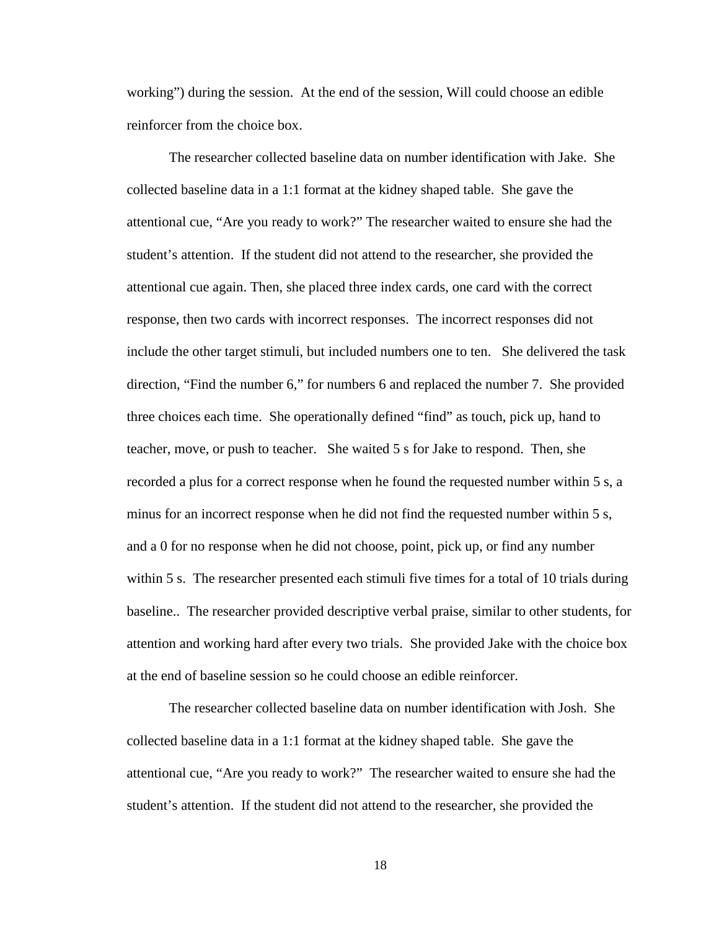working") during the session. At the end of the session, Will could choose an edible reinforcer from the choice box.

The researcher collected baseline data on number identification with Jake. She collected baseline data in a 1:1 format at the kidney shaped table. She gave the attentional cue, "Are you ready to work?" The researcher waited to ensure she had the student's attention. If the student did not attend to the researcher, she provided the attentional cue again. Then, she placed three index cards, one card with the correct response, then two cards with incorrect responses. The incorrect responses did not include the other target stimuli, but included numbers one to ten. She delivered the task direction, "Find the number 6," for numbers 6 and replaced the number 7. She provided three choices each time. She operationally defined "find" as touch, pick up, hand to teacher, move, or push to teacher. She waited 5 s for Jake to respond. Then, she recorded a plus for a correct response when he found the requested number within 5 s, a minus for an incorrect response when he did not find the requested number within 5 s, and a 0 for no response when he did not choose, point, pick up, or find any number within 5 s. The researcher presented each stimuli five times for a total of 10 trials during baseline.. The researcher provided descriptive verbal praise, similar to other students, for attention and working hard after every two trials. She provided Jake with the choice box at the end of baseline session so he could choose an edible reinforcer.

The researcher collected baseline data on number identification with Josh. She collected baseline data in a 1:1 format at the kidney shaped table. She gave the attentional cue, "Are you ready to work?" The researcher waited to ensure she had the student's attention. If the student did not attend to the researcher, she provided the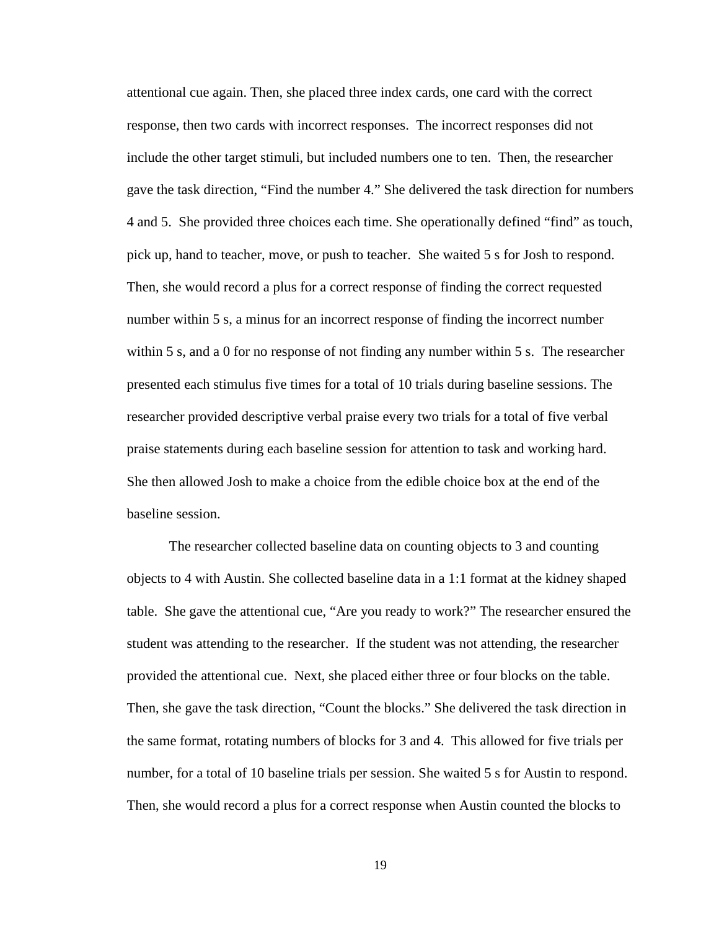attentional cue again. Then, she placed three index cards, one card with the correct response, then two cards with incorrect responses. The incorrect responses did not include the other target stimuli, but included numbers one to ten. Then, the researcher gave the task direction, "Find the number 4." She delivered the task direction for numbers 4 and 5. She provided three choices each time. She operationally defined "find" as touch, pick up, hand to teacher, move, or push to teacher. She waited 5 s for Josh to respond. Then, she would record a plus for a correct response of finding the correct requested number within 5 s, a minus for an incorrect response of finding the incorrect number within 5 s, and a 0 for no response of not finding any number within 5 s. The researcher presented each stimulus five times for a total of 10 trials during baseline sessions. The researcher provided descriptive verbal praise every two trials for a total of five verbal praise statements during each baseline session for attention to task and working hard. She then allowed Josh to make a choice from the edible choice box at the end of the baseline session.

The researcher collected baseline data on counting objects to 3 and counting objects to 4 with Austin. She collected baseline data in a 1:1 format at the kidney shaped table. She gave the attentional cue, "Are you ready to work?" The researcher ensured the student was attending to the researcher. If the student was not attending, the researcher provided the attentional cue. Next, she placed either three or four blocks on the table. Then, she gave the task direction, "Count the blocks." She delivered the task direction in the same format, rotating numbers of blocks for 3 and 4. This allowed for five trials per number, for a total of 10 baseline trials per session. She waited 5 s for Austin to respond. Then, she would record a plus for a correct response when Austin counted the blocks to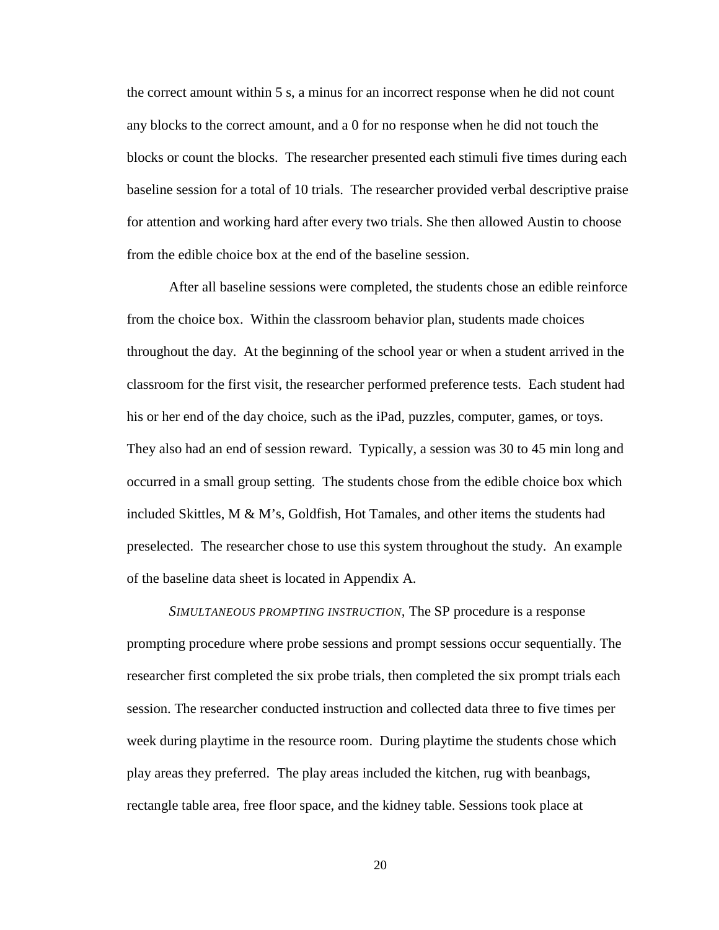the correct amount within 5 s, a minus for an incorrect response when he did not count any blocks to the correct amount, and a 0 for no response when he did not touch the blocks or count the blocks. The researcher presented each stimuli five times during each baseline session for a total of 10 trials. The researcher provided verbal descriptive praise for attention and working hard after every two trials. She then allowed Austin to choose from the edible choice box at the end of the baseline session.

After all baseline sessions were completed, the students chose an edible reinforce from the choice box. Within the classroom behavior plan, students made choices throughout the day. At the beginning of the school year or when a student arrived in the classroom for the first visit, the researcher performed preference tests. Each student had his or her end of the day choice, such as the iPad, puzzles, computer, games, or toys. They also had an end of session reward. Typically, a session was 30 to 45 min long and occurred in a small group setting. The students chose from the edible choice box which included Skittles, M & M's, Goldfish, Hot Tamales, and other items the students had preselected. The researcher chose to use this system throughout the study. An example of the baseline data sheet is located in Appendix A.

<span id="page-28-0"></span>*SIMULTANEOUS PROMPTING INSTRUCTION,* The SP procedure is a response prompting procedure where probe sessions and prompt sessions occur sequentially. The researcher first completed the six probe trials, then completed the six prompt trials each session. The researcher conducted instruction and collected data three to five times per week during playtime in the resource room. During playtime the students chose which play areas they preferred. The play areas included the kitchen, rug with beanbags, rectangle table area, free floor space, and the kidney table. Sessions took place at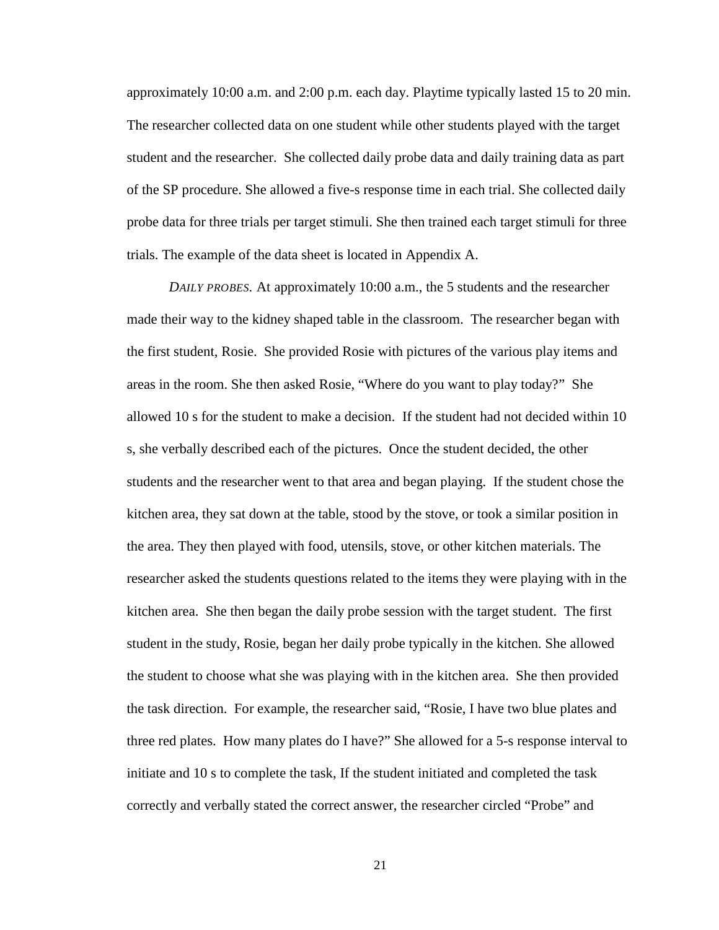approximately 10:00 a.m. and 2:00 p.m. each day. Playtime typically lasted 15 to 20 min. The researcher collected data on one student while other students played with the target student and the researcher. She collected daily probe data and daily training data as part of the SP procedure. She allowed a five-s response time in each trial. She collected daily probe data for three trials per target stimuli. She then trained each target stimuli for three trials. The example of the data sheet is located in Appendix A.

<span id="page-29-0"></span>*DAILY PROBES.* At approximately 10:00 a.m., the 5 students and the researcher made their way to the kidney shaped table in the classroom. The researcher began with the first student, Rosie. She provided Rosie with pictures of the various play items and areas in the room. She then asked Rosie, "Where do you want to play today?" She allowed 10 s for the student to make a decision. If the student had not decided within 10 s, she verbally described each of the pictures. Once the student decided, the other students and the researcher went to that area and began playing. If the student chose the kitchen area, they sat down at the table, stood by the stove, or took a similar position in the area. They then played with food, utensils, stove, or other kitchen materials. The researcher asked the students questions related to the items they were playing with in the kitchen area. She then began the daily probe session with the target student. The first student in the study, Rosie, began her daily probe typically in the kitchen. She allowed the student to choose what she was playing with in the kitchen area. She then provided the task direction. For example, the researcher said, "Rosie, I have two blue plates and three red plates. How many plates do I have?" She allowed for a 5-s response interval to initiate and 10 s to complete the task, If the student initiated and completed the task correctly and verbally stated the correct answer, the researcher circled "Probe" and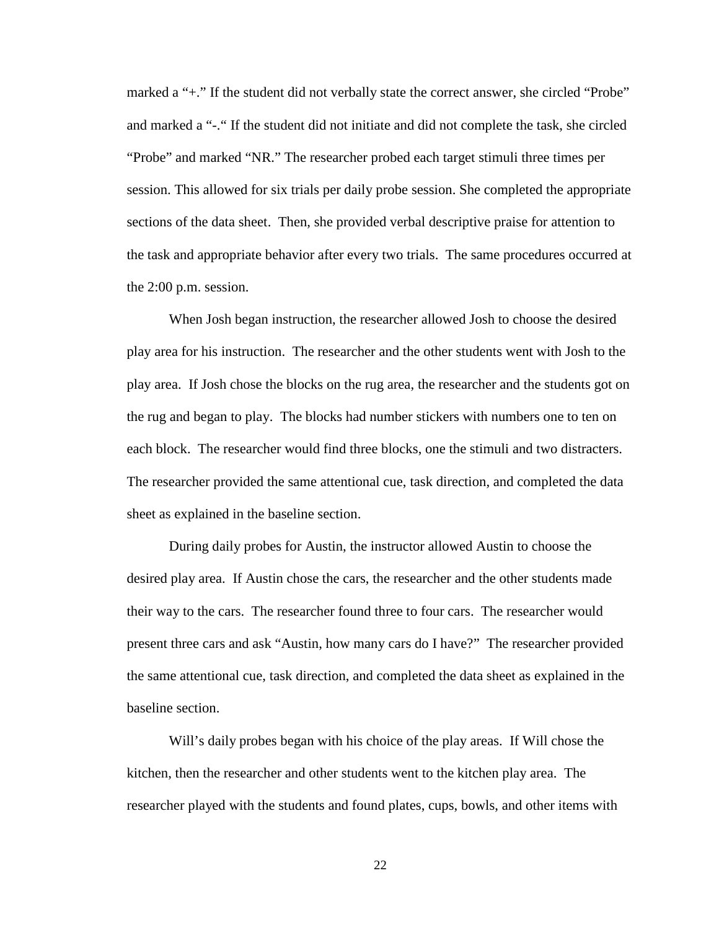marked a "+." If the student did not verbally state the correct answer, she circled "Probe" and marked a "-." If the student did not initiate and did not complete the task, she circled "Probe" and marked "NR." The researcher probed each target stimuli three times per session. This allowed for six trials per daily probe session. She completed the appropriate sections of the data sheet. Then, she provided verbal descriptive praise for attention to the task and appropriate behavior after every two trials. The same procedures occurred at the 2:00 p.m. session.

When Josh began instruction, the researcher allowed Josh to choose the desired play area for his instruction. The researcher and the other students went with Josh to the play area. If Josh chose the blocks on the rug area, the researcher and the students got on the rug and began to play. The blocks had number stickers with numbers one to ten on each block. The researcher would find three blocks, one the stimuli and two distracters. The researcher provided the same attentional cue, task direction, and completed the data sheet as explained in the baseline section.

During daily probes for Austin, the instructor allowed Austin to choose the desired play area. If Austin chose the cars, the researcher and the other students made their way to the cars. The researcher found three to four cars. The researcher would present three cars and ask "Austin, how many cars do I have?" The researcher provided the same attentional cue, task direction, and completed the data sheet as explained in the baseline section.

Will's daily probes began with his choice of the play areas. If Will chose the kitchen, then the researcher and other students went to the kitchen play area. The researcher played with the students and found plates, cups, bowls, and other items with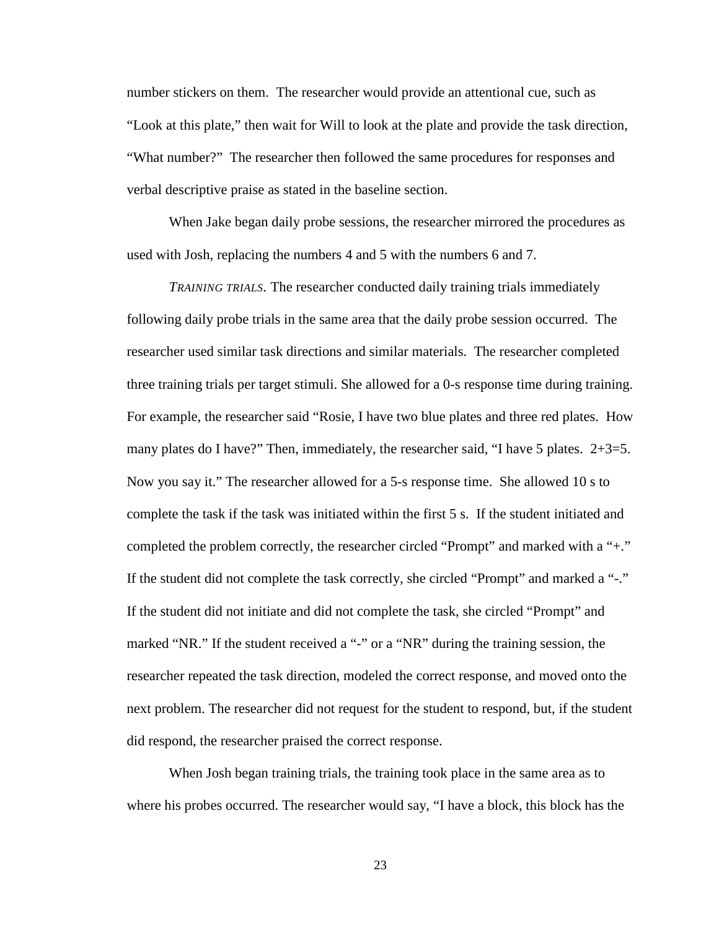number stickers on them. The researcher would provide an attentional cue, such as "Look at this plate," then wait for Will to look at the plate and provide the task direction, "What number?" The researcher then followed the same procedures for responses and verbal descriptive praise as stated in the baseline section.

When Jake began daily probe sessions, the researcher mirrored the procedures as used with Josh, replacing the numbers 4 and 5 with the numbers 6 and 7.

<span id="page-31-0"></span>*TRAINING TRIALS.* The researcher conducted daily training trials immediately following daily probe trials in the same area that the daily probe session occurred. The researcher used similar task directions and similar materials. The researcher completed three training trials per target stimuli. She allowed for a 0-s response time during training. For example, the researcher said "Rosie, I have two blue plates and three red plates. How many plates do I have?" Then, immediately, the researcher said, "I have 5 plates.  $2+3=5$ . Now you say it." The researcher allowed for a 5-s response time. She allowed 10 s to complete the task if the task was initiated within the first 5 s. If the student initiated and completed the problem correctly, the researcher circled "Prompt" and marked with a "+." If the student did not complete the task correctly, she circled "Prompt" and marked a "-." If the student did not initiate and did not complete the task, she circled "Prompt" and marked "NR." If the student received a "-" or a "NR" during the training session, the researcher repeated the task direction, modeled the correct response, and moved onto the next problem. The researcher did not request for the student to respond, but, if the student did respond, the researcher praised the correct response.

When Josh began training trials, the training took place in the same area as to where his probes occurred. The researcher would say, "I have a block, this block has the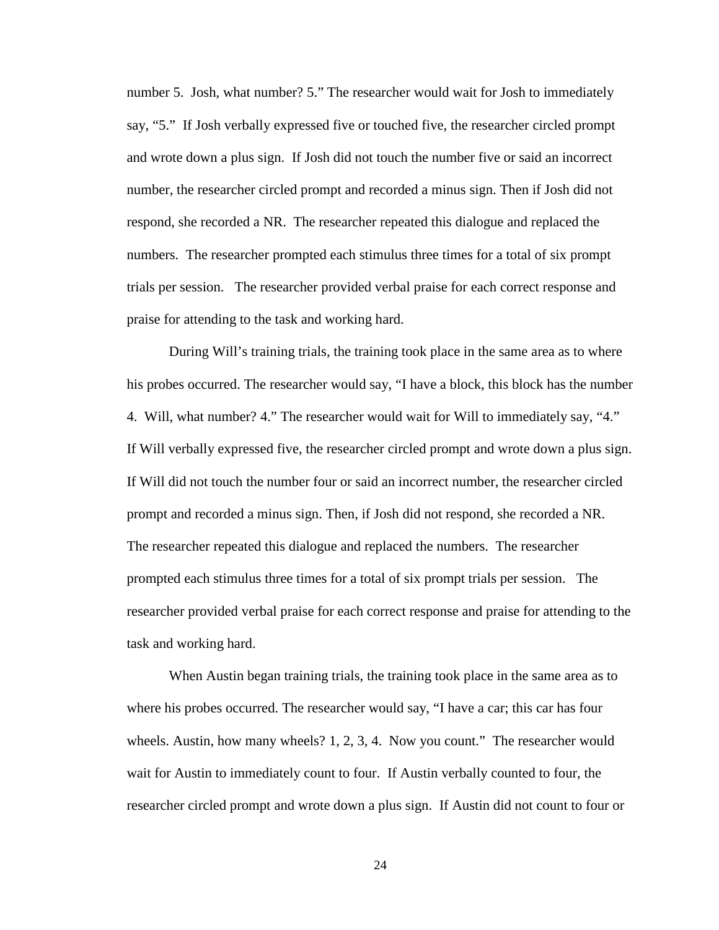number 5. Josh, what number? 5." The researcher would wait for Josh to immediately say, "5." If Josh verbally expressed five or touched five, the researcher circled prompt and wrote down a plus sign. If Josh did not touch the number five or said an incorrect number, the researcher circled prompt and recorded a minus sign. Then if Josh did not respond, she recorded a NR. The researcher repeated this dialogue and replaced the numbers. The researcher prompted each stimulus three times for a total of six prompt trials per session. The researcher provided verbal praise for each correct response and praise for attending to the task and working hard.

During Will's training trials, the training took place in the same area as to where his probes occurred. The researcher would say, "I have a block, this block has the number 4. Will, what number? 4." The researcher would wait for Will to immediately say, "4." If Will verbally expressed five, the researcher circled prompt and wrote down a plus sign. If Will did not touch the number four or said an incorrect number, the researcher circled prompt and recorded a minus sign. Then, if Josh did not respond, she recorded a NR. The researcher repeated this dialogue and replaced the numbers. The researcher prompted each stimulus three times for a total of six prompt trials per session. The researcher provided verbal praise for each correct response and praise for attending to the task and working hard.

When Austin began training trials, the training took place in the same area as to where his probes occurred. The researcher would say, "I have a car; this car has four wheels. Austin, how many wheels? 1, 2, 3, 4. Now you count." The researcher would wait for Austin to immediately count to four. If Austin verbally counted to four, the researcher circled prompt and wrote down a plus sign. If Austin did not count to four or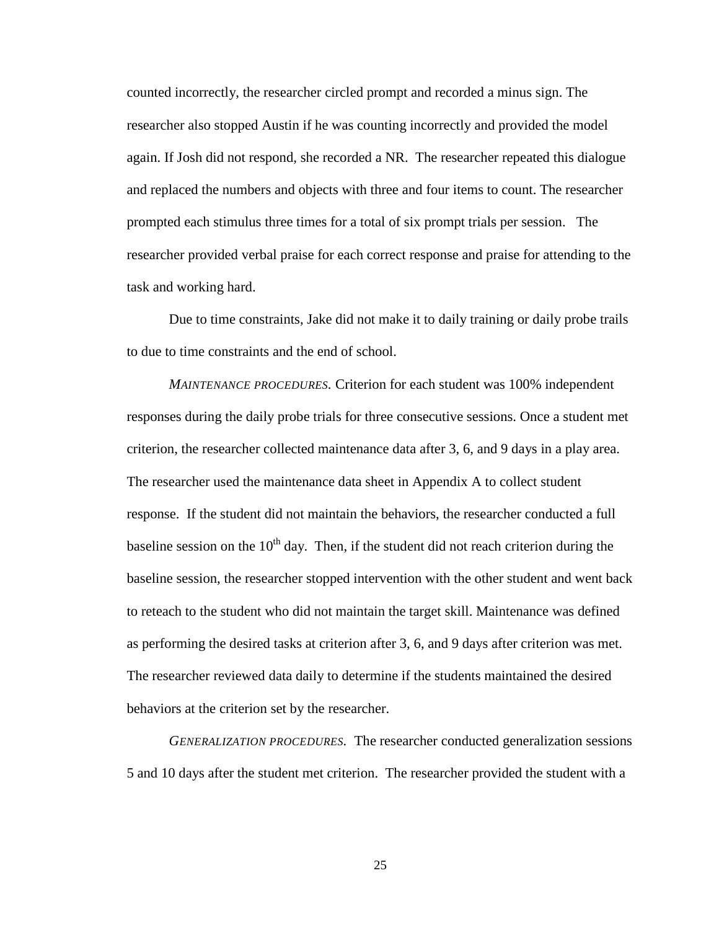counted incorrectly, the researcher circled prompt and recorded a minus sign. The researcher also stopped Austin if he was counting incorrectly and provided the model again. If Josh did not respond, she recorded a NR. The researcher repeated this dialogue and replaced the numbers and objects with three and four items to count. The researcher prompted each stimulus three times for a total of six prompt trials per session. The researcher provided verbal praise for each correct response and praise for attending to the task and working hard.

Due to time constraints, Jake did not make it to daily training or daily probe trails to due to time constraints and the end of school.

<span id="page-33-0"></span>*MAINTENANCE PROCEDURES.* Criterion for each student was 100% independent responses during the daily probe trials for three consecutive sessions. Once a student met criterion, the researcher collected maintenance data after 3, 6, and 9 days in a play area. The researcher used the maintenance data sheet in Appendix A to collect student response. If the student did not maintain the behaviors, the researcher conducted a full baseline session on the  $10<sup>th</sup>$  day. Then, if the student did not reach criterion during the baseline session, the researcher stopped intervention with the other student and went back to reteach to the student who did not maintain the target skill. Maintenance was defined as performing the desired tasks at criterion after 3, 6, and 9 days after criterion was met. The researcher reviewed data daily to determine if the students maintained the desired behaviors at the criterion set by the researcher.

<span id="page-33-1"></span>*GENERALIZATION PROCEDURES.* The researcher conducted generalization sessions 5 and 10 days after the student met criterion. The researcher provided the student with a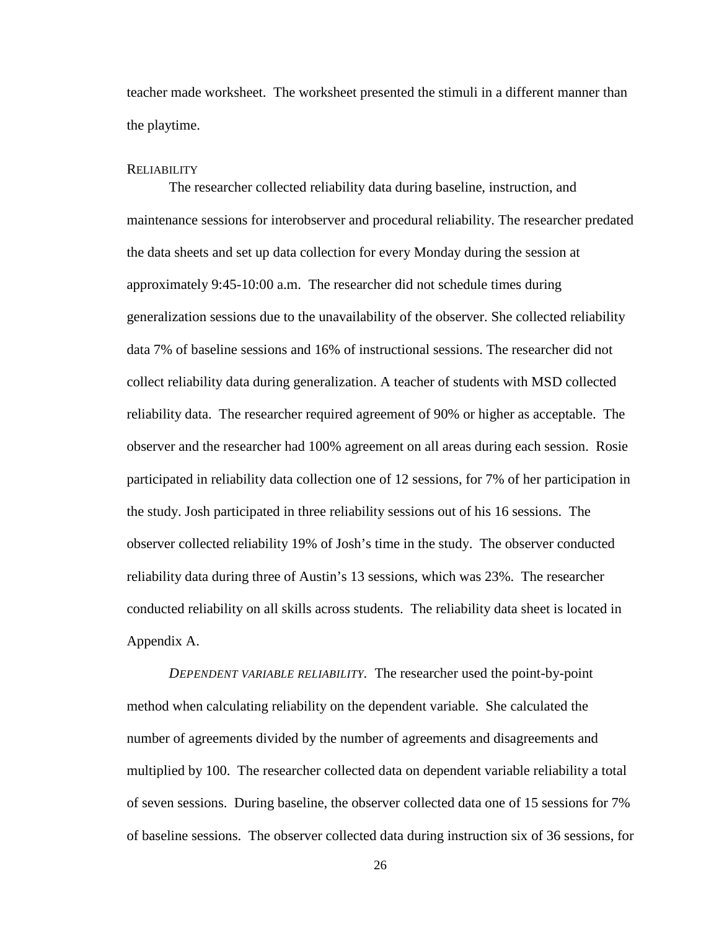teacher made worksheet. The worksheet presented the stimuli in a different manner than the playtime.

#### <span id="page-34-0"></span>**RELIABILITY**

The researcher collected reliability data during baseline, instruction, and maintenance sessions for interobserver and procedural reliability. The researcher predated the data sheets and set up data collection for every Monday during the session at approximately 9:45-10:00 a.m. The researcher did not schedule times during generalization sessions due to the unavailability of the observer. She collected reliability data 7% of baseline sessions and 16% of instructional sessions. The researcher did not collect reliability data during generalization. A teacher of students with MSD collected reliability data. The researcher required agreement of 90% or higher as acceptable. The observer and the researcher had 100% agreement on all areas during each session. Rosie participated in reliability data collection one of 12 sessions, for 7% of her participation in the study. Josh participated in three reliability sessions out of his 16 sessions. The observer collected reliability 19% of Josh's time in the study. The observer conducted reliability data during three of Austin's 13 sessions, which was 23%. The researcher conducted reliability on all skills across students. The reliability data sheet is located in Appendix A.

<span id="page-34-1"></span>*DEPENDENT VARIABLE RELIABILITY.* The researcher used the point-by-point method when calculating reliability on the dependent variable. She calculated the number of agreements divided by the number of agreements and disagreements and multiplied by 100. The researcher collected data on dependent variable reliability a total of seven sessions. During baseline, the observer collected data one of 15 sessions for 7% of baseline sessions. The observer collected data during instruction six of 36 sessions, for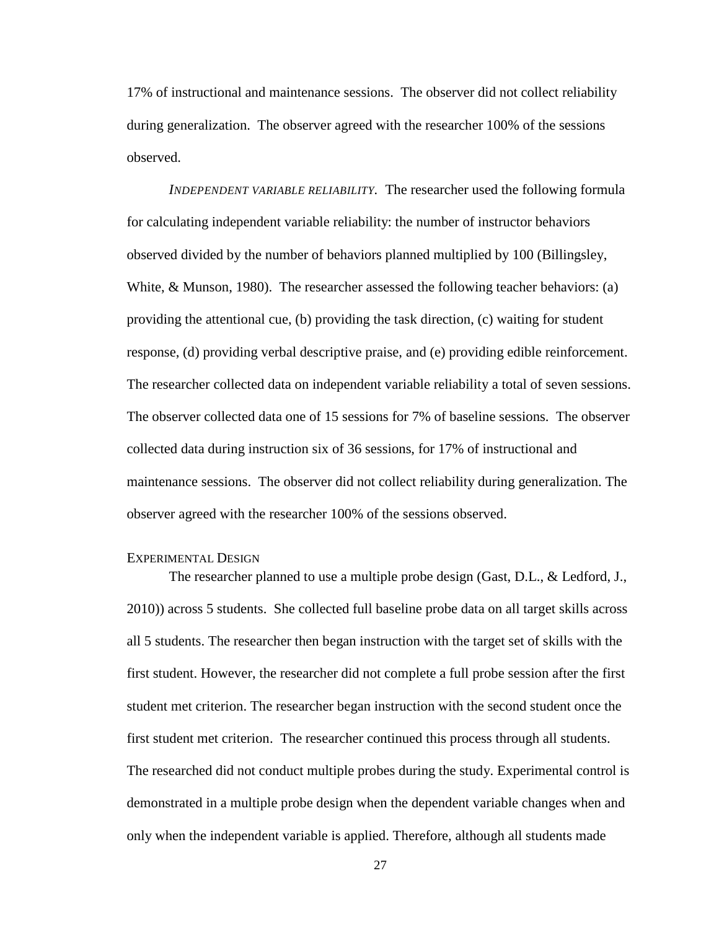17% of instructional and maintenance sessions. The observer did not collect reliability during generalization. The observer agreed with the researcher 100% of the sessions observed.

<span id="page-35-0"></span>*INDEPENDENT VARIABLE RELIABILITY.* The researcher used the following formula for calculating independent variable reliability: the number of instructor behaviors observed divided by the number of behaviors planned multiplied by 100 (Billingsley, White, & Munson, 1980). The researcher assessed the following teacher behaviors: (a) providing the attentional cue, (b) providing the task direction, (c) waiting for student response, (d) providing verbal descriptive praise, and (e) providing edible reinforcement. The researcher collected data on independent variable reliability a total of seven sessions. The observer collected data one of 15 sessions for 7% of baseline sessions. The observer collected data during instruction six of 36 sessions, for 17% of instructional and maintenance sessions. The observer did not collect reliability during generalization. The observer agreed with the researcher 100% of the sessions observed.

#### <span id="page-35-1"></span>EXPERIMENTAL DESIGN

The researcher planned to use a multiple probe design (Gast, D.L., & Ledford, J., 2010)) across 5 students. She collected full baseline probe data on all target skills across all 5 students. The researcher then began instruction with the target set of skills with the first student. However, the researcher did not complete a full probe session after the first student met criterion. The researcher began instruction with the second student once the first student met criterion. The researcher continued this process through all students. The researched did not conduct multiple probes during the study. Experimental control is demonstrated in a multiple probe design when the dependent variable changes when and only when the independent variable is applied. Therefore, although all students made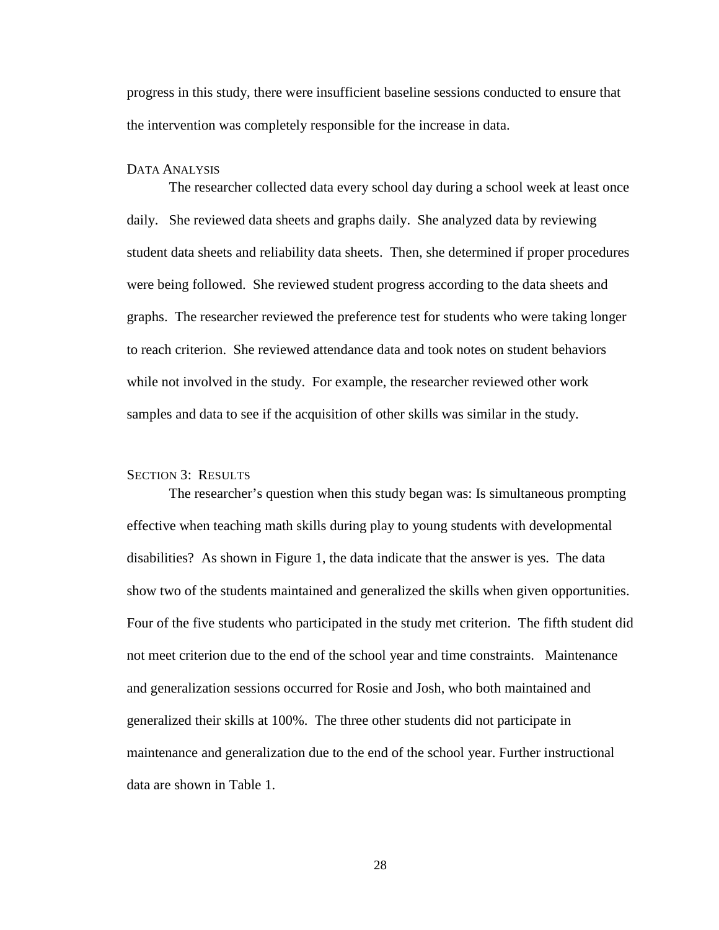progress in this study, there were insufficient baseline sessions conducted to ensure that the intervention was completely responsible for the increase in data.

#### <span id="page-36-0"></span>DATA ANALYSIS

The researcher collected data every school day during a school week at least once daily. She reviewed data sheets and graphs daily. She analyzed data by reviewing student data sheets and reliability data sheets. Then, she determined if proper procedures were being followed. She reviewed student progress according to the data sheets and graphs. The researcher reviewed the preference test for students who were taking longer to reach criterion. She reviewed attendance data and took notes on student behaviors while not involved in the study. For example, the researcher reviewed other work samples and data to see if the acquisition of other skills was similar in the study.

#### <span id="page-36-1"></span>SECTION 3: RESULTS

The researcher's question when this study began was: Is simultaneous prompting effective when teaching math skills during play to young students with developmental disabilities? As shown in Figure 1, the data indicate that the answer is yes. The data show two of the students maintained and generalized the skills when given opportunities. Four of the five students who participated in the study met criterion. The fifth student did not meet criterion due to the end of the school year and time constraints. Maintenance and generalization sessions occurred for Rosie and Josh, who both maintained and generalized their skills at 100%. The three other students did not participate in maintenance and generalization due to the end of the school year. Further instructional data are shown in Table 1.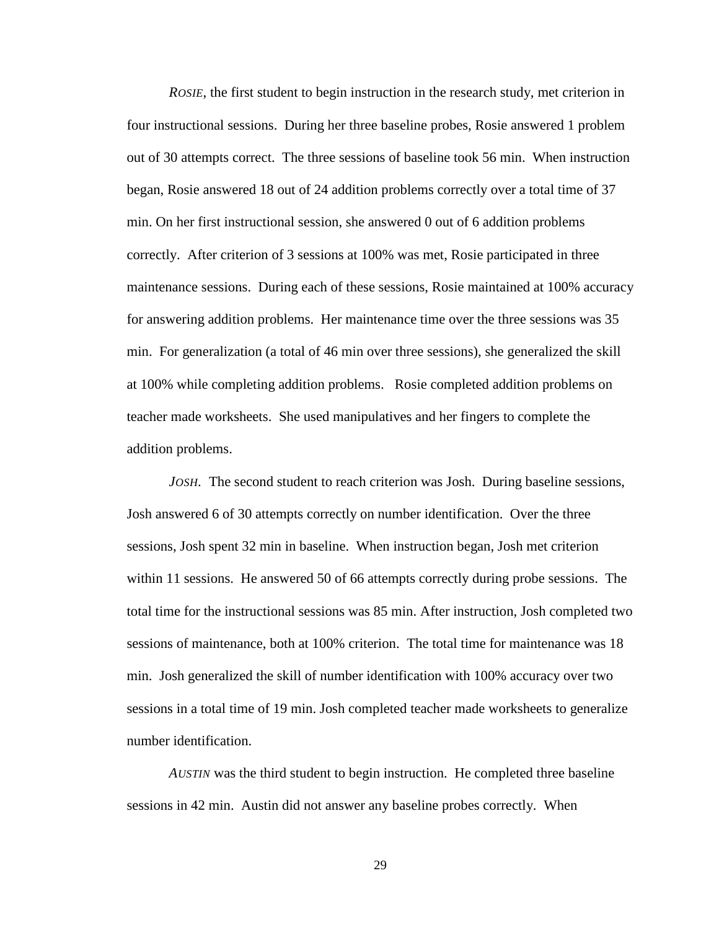<span id="page-37-0"></span>*ROSIE*, the first student to begin instruction in the research study, met criterion in four instructional sessions. During her three baseline probes, Rosie answered 1 problem out of 30 attempts correct. The three sessions of baseline took 56 min. When instruction began, Rosie answered 18 out of 24 addition problems correctly over a total time of 37 min. On her first instructional session, she answered 0 out of 6 addition problems correctly. After criterion of 3 sessions at 100% was met, Rosie participated in three maintenance sessions. During each of these sessions, Rosie maintained at 100% accuracy for answering addition problems. Her maintenance time over the three sessions was 35 min. For generalization (a total of 46 min over three sessions), she generalized the skill at 100% while completing addition problems. Rosie completed addition problems on teacher made worksheets. She used manipulatives and her fingers to complete the addition problems.

<span id="page-37-1"></span>*JOSH.* The second student to reach criterion was Josh. During baseline sessions, Josh answered 6 of 30 attempts correctly on number identification. Over the three sessions, Josh spent 32 min in baseline. When instruction began, Josh met criterion within 11 sessions. He answered 50 of 66 attempts correctly during probe sessions. The total time for the instructional sessions was 85 min. After instruction, Josh completed two sessions of maintenance, both at 100% criterion. The total time for maintenance was 18 min. Josh generalized the skill of number identification with 100% accuracy over two sessions in a total time of 19 min. Josh completed teacher made worksheets to generalize number identification.

<span id="page-37-2"></span>*AUSTIN* was the third student to begin instruction. He completed three baseline sessions in 42 min. Austin did not answer any baseline probes correctly. When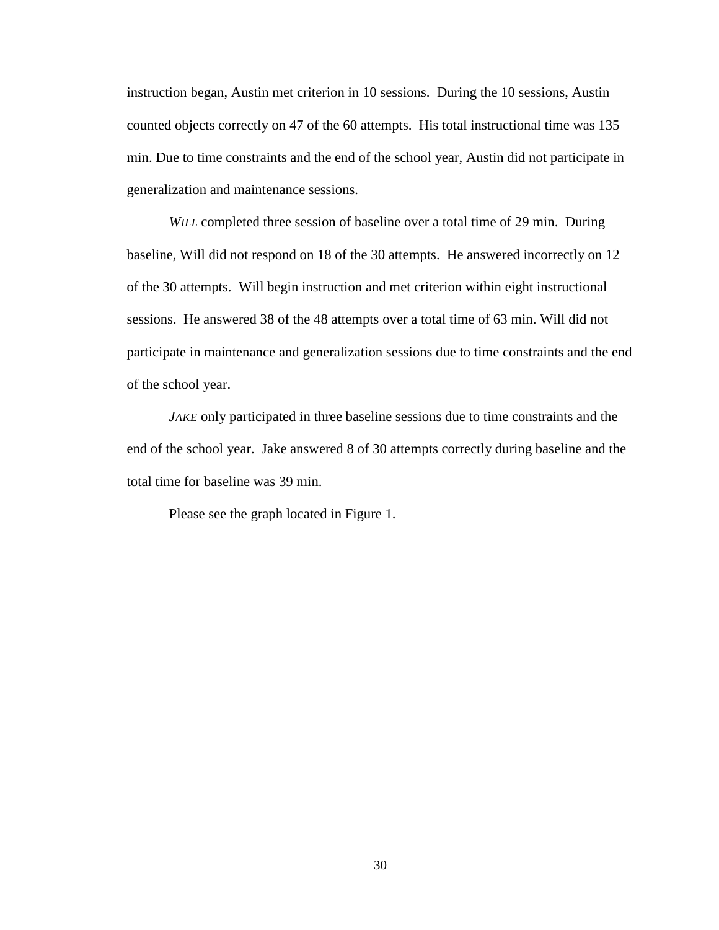instruction began, Austin met criterion in 10 sessions. During the 10 sessions, Austin counted objects correctly on 47 of the 60 attempts. His total instructional time was 135 min. Due to time constraints and the end of the school year, Austin did not participate in generalization and maintenance sessions.

<span id="page-38-0"></span>*WILL* completed three session of baseline over a total time of 29 min. During baseline, Will did not respond on 18 of the 30 attempts. He answered incorrectly on 12 of the 30 attempts. Will begin instruction and met criterion within eight instructional sessions. He answered 38 of the 48 attempts over a total time of 63 min. Will did not participate in maintenance and generalization sessions due to time constraints and the end of the school year.

<span id="page-38-1"></span>*JAKE* only participated in three baseline sessions due to time constraints and the end of the school year. Jake answered 8 of 30 attempts correctly during baseline and the total time for baseline was 39 min.

Please see the graph located in Figure 1.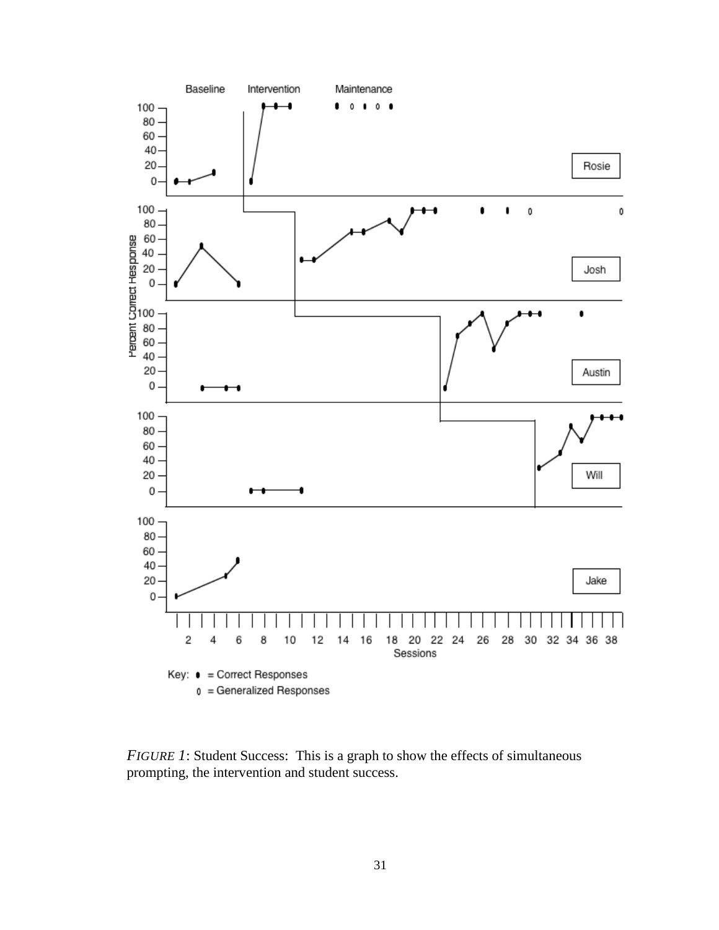

<span id="page-39-0"></span>*FIGURE 1*: Student Success: This is a graph to show the effects of simultaneous prompting, the intervention and student success.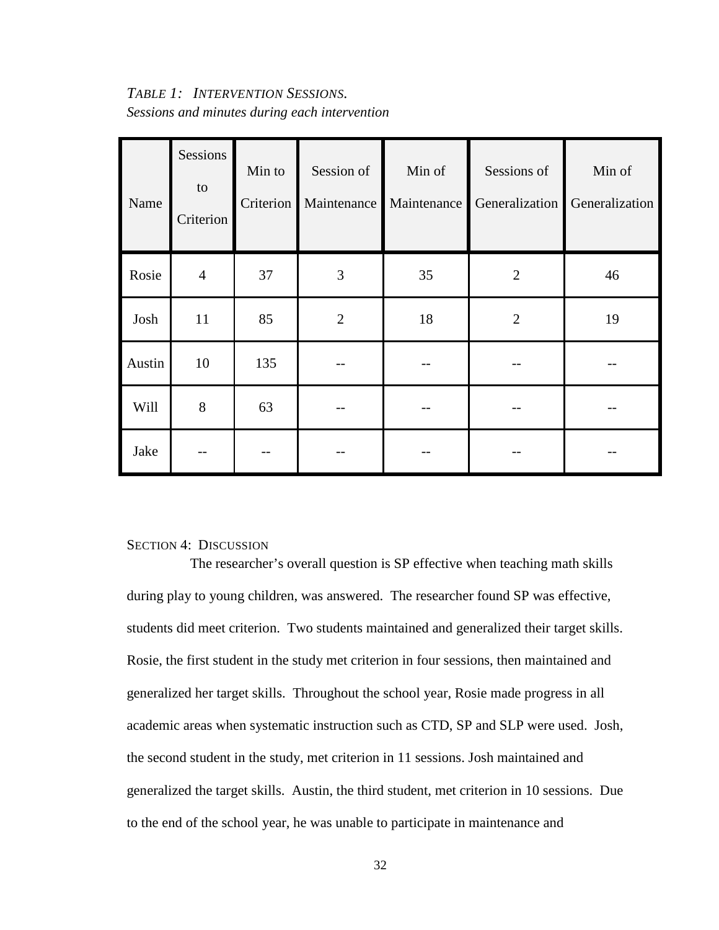## <span id="page-40-0"></span>*TABLE 1: INTERVENTION SESSIONS. Sessions and minutes during each intervention*

| Name   | Sessions<br>to<br>Criterion | Min to<br>Criterion | Session of<br>Maintenance | Min of<br>Maintenance | Sessions of<br>Generalization | Min of<br>Generalization |
|--------|-----------------------------|---------------------|---------------------------|-----------------------|-------------------------------|--------------------------|
| Rosie  | $\overline{4}$              | 37                  | $\mathfrak{Z}$            | 35                    | $\overline{2}$                | 46                       |
| Josh   | 11                          | 85                  | $\overline{2}$            | 18                    | $\overline{2}$                | 19                       |
| Austin | 10                          | 135                 |                           |                       |                               |                          |
| Will   | 8                           | 63                  |                           |                       |                               |                          |
| Jake   |                             |                     |                           |                       |                               |                          |

#### <span id="page-40-1"></span>SECTION 4: DISCUSSION

The researcher's overall question is SP effective when teaching math skills during play to young children, was answered. The researcher found SP was effective, students did meet criterion. Two students maintained and generalized their target skills. Rosie, the first student in the study met criterion in four sessions, then maintained and generalized her target skills. Throughout the school year, Rosie made progress in all academic areas when systematic instruction such as CTD, SP and SLP were used. Josh, the second student in the study, met criterion in 11 sessions. Josh maintained and generalized the target skills. Austin, the third student, met criterion in 10 sessions. Due to the end of the school year, he was unable to participate in maintenance and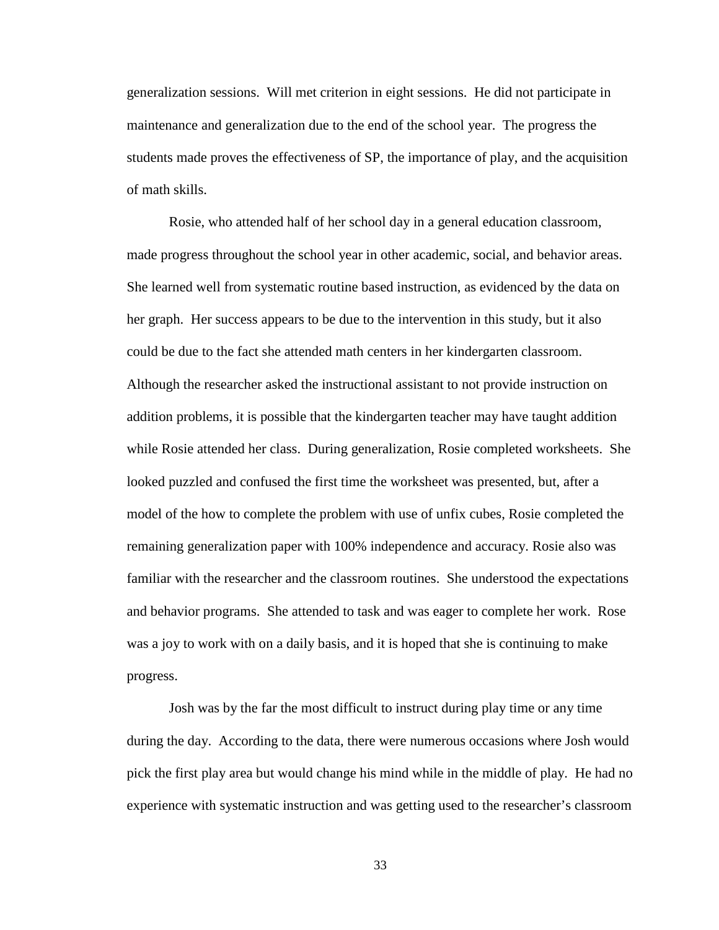generalization sessions. Will met criterion in eight sessions. He did not participate in maintenance and generalization due to the end of the school year. The progress the students made proves the effectiveness of SP, the importance of play, and the acquisition of math skills.

Rosie, who attended half of her school day in a general education classroom, made progress throughout the school year in other academic, social, and behavior areas. She learned well from systematic routine based instruction, as evidenced by the data on her graph. Her success appears to be due to the intervention in this study, but it also could be due to the fact she attended math centers in her kindergarten classroom. Although the researcher asked the instructional assistant to not provide instruction on addition problems, it is possible that the kindergarten teacher may have taught addition while Rosie attended her class. During generalization, Rosie completed worksheets. She looked puzzled and confused the first time the worksheet was presented, but, after a model of the how to complete the problem with use of unfix cubes, Rosie completed the remaining generalization paper with 100% independence and accuracy. Rosie also was familiar with the researcher and the classroom routines. She understood the expectations and behavior programs. She attended to task and was eager to complete her work. Rose was a joy to work with on a daily basis, and it is hoped that she is continuing to make progress.

Josh was by the far the most difficult to instruct during play time or any time during the day. According to the data, there were numerous occasions where Josh would pick the first play area but would change his mind while in the middle of play. He had no experience with systematic instruction and was getting used to the researcher's classroom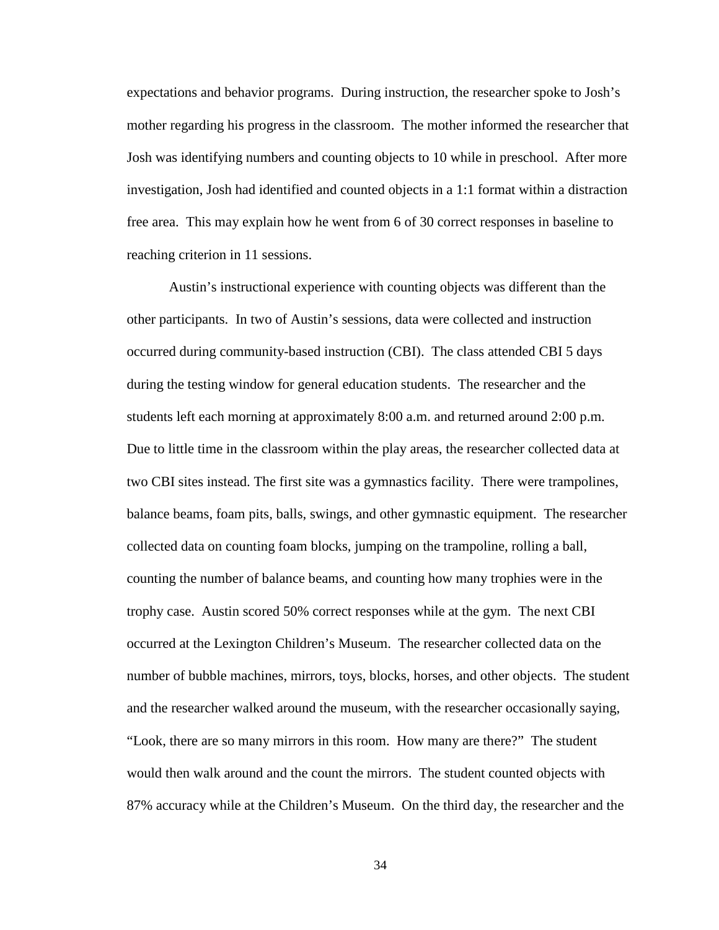expectations and behavior programs. During instruction, the researcher spoke to Josh's mother regarding his progress in the classroom. The mother informed the researcher that Josh was identifying numbers and counting objects to 10 while in preschool. After more investigation, Josh had identified and counted objects in a 1:1 format within a distraction free area. This may explain how he went from 6 of 30 correct responses in baseline to reaching criterion in 11 sessions.

Austin's instructional experience with counting objects was different than the other participants. In two of Austin's sessions, data were collected and instruction occurred during community-based instruction (CBI). The class attended CBI 5 days during the testing window for general education students. The researcher and the students left each morning at approximately 8:00 a.m. and returned around 2:00 p.m. Due to little time in the classroom within the play areas, the researcher collected data at two CBI sites instead. The first site was a gymnastics facility. There were trampolines, balance beams, foam pits, balls, swings, and other gymnastic equipment. The researcher collected data on counting foam blocks, jumping on the trampoline, rolling a ball, counting the number of balance beams, and counting how many trophies were in the trophy case. Austin scored 50% correct responses while at the gym. The next CBI occurred at the Lexington Children's Museum. The researcher collected data on the number of bubble machines, mirrors, toys, blocks, horses, and other objects. The student and the researcher walked around the museum, with the researcher occasionally saying, "Look, there are so many mirrors in this room. How many are there?" The student would then walk around and the count the mirrors. The student counted objects with 87% accuracy while at the Children's Museum. On the third day, the researcher and the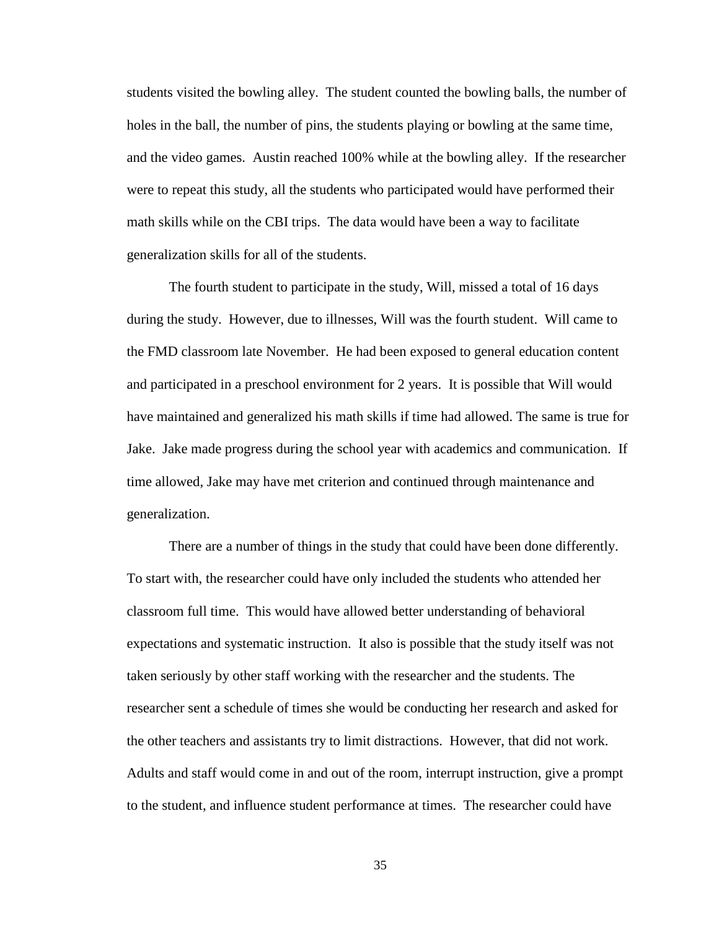students visited the bowling alley. The student counted the bowling balls, the number of holes in the ball, the number of pins, the students playing or bowling at the same time, and the video games. Austin reached 100% while at the bowling alley. If the researcher were to repeat this study, all the students who participated would have performed their math skills while on the CBI trips. The data would have been a way to facilitate generalization skills for all of the students.

The fourth student to participate in the study, Will, missed a total of 16 days during the study. However, due to illnesses, Will was the fourth student. Will came to the FMD classroom late November. He had been exposed to general education content and participated in a preschool environment for 2 years. It is possible that Will would have maintained and generalized his math skills if time had allowed. The same is true for Jake. Jake made progress during the school year with academics and communication. If time allowed, Jake may have met criterion and continued through maintenance and generalization.

There are a number of things in the study that could have been done differently. To start with, the researcher could have only included the students who attended her classroom full time. This would have allowed better understanding of behavioral expectations and systematic instruction. It also is possible that the study itself was not taken seriously by other staff working with the researcher and the students. The researcher sent a schedule of times she would be conducting her research and asked for the other teachers and assistants try to limit distractions. However, that did not work. Adults and staff would come in and out of the room, interrupt instruction, give a prompt to the student, and influence student performance at times. The researcher could have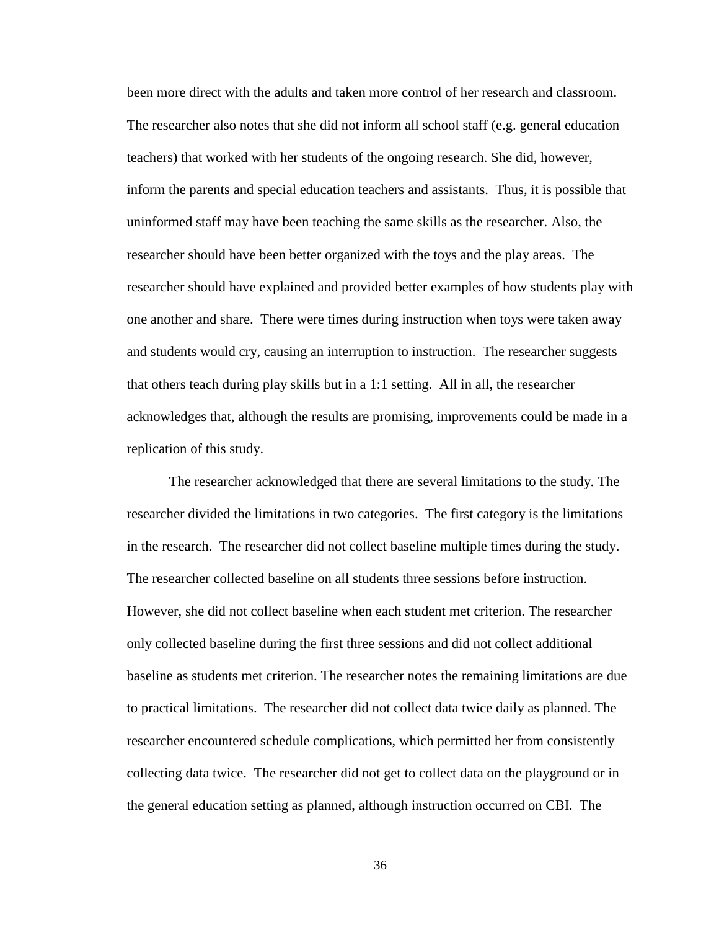been more direct with the adults and taken more control of her research and classroom. The researcher also notes that she did not inform all school staff (e.g. general education teachers) that worked with her students of the ongoing research. She did, however, inform the parents and special education teachers and assistants. Thus, it is possible that uninformed staff may have been teaching the same skills as the researcher. Also, the researcher should have been better organized with the toys and the play areas. The researcher should have explained and provided better examples of how students play with one another and share. There were times during instruction when toys were taken away and students would cry, causing an interruption to instruction. The researcher suggests that others teach during play skills but in a 1:1 setting. All in all, the researcher acknowledges that, although the results are promising, improvements could be made in a replication of this study.

The researcher acknowledged that there are several limitations to the study. The researcher divided the limitations in two categories. The first category is the limitations in the research. The researcher did not collect baseline multiple times during the study. The researcher collected baseline on all students three sessions before instruction. However, she did not collect baseline when each student met criterion. The researcher only collected baseline during the first three sessions and did not collect additional baseline as students met criterion. The researcher notes the remaining limitations are due to practical limitations. The researcher did not collect data twice daily as planned. The researcher encountered schedule complications, which permitted her from consistently collecting data twice. The researcher did not get to collect data on the playground or in the general education setting as planned, although instruction occurred on CBI. The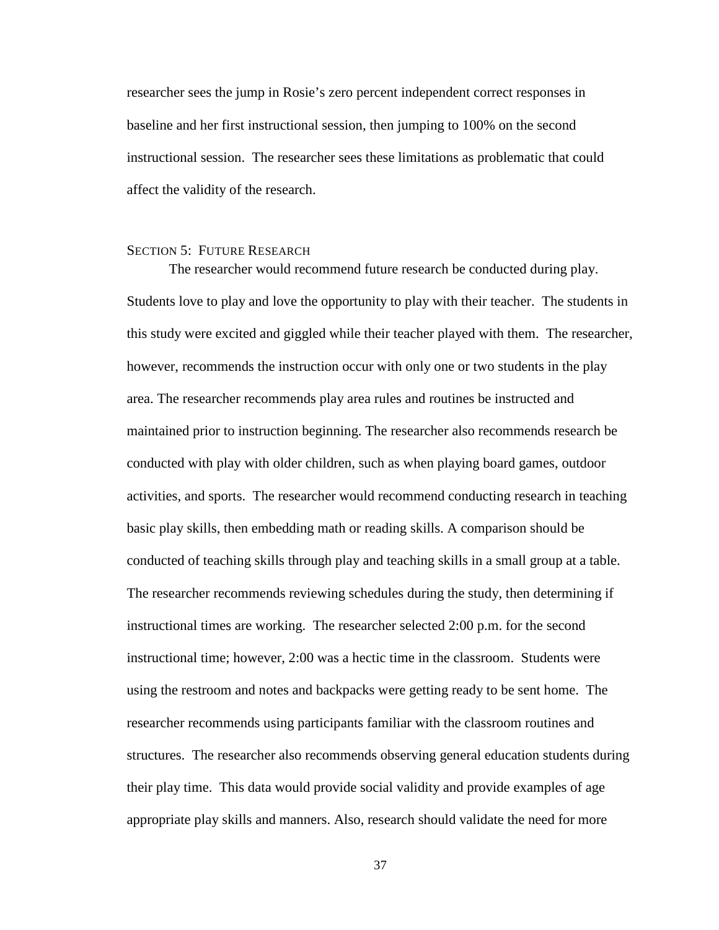researcher sees the jump in Rosie's zero percent independent correct responses in baseline and her first instructional session, then jumping to 100% on the second instructional session. The researcher sees these limitations as problematic that could affect the validity of the research.

#### <span id="page-45-0"></span>SECTION 5: FUTURE RESEARCH

The researcher would recommend future research be conducted during play. Students love to play and love the opportunity to play with their teacher. The students in this study were excited and giggled while their teacher played with them. The researcher, however, recommends the instruction occur with only one or two students in the play area. The researcher recommends play area rules and routines be instructed and maintained prior to instruction beginning. The researcher also recommends research be conducted with play with older children, such as when playing board games, outdoor activities, and sports. The researcher would recommend conducting research in teaching basic play skills, then embedding math or reading skills. A comparison should be conducted of teaching skills through play and teaching skills in a small group at a table. The researcher recommends reviewing schedules during the study, then determining if instructional times are working. The researcher selected 2:00 p.m. for the second instructional time; however, 2:00 was a hectic time in the classroom. Students were using the restroom and notes and backpacks were getting ready to be sent home. The researcher recommends using participants familiar with the classroom routines and structures. The researcher also recommends observing general education students during their play time. This data would provide social validity and provide examples of age appropriate play skills and manners. Also, research should validate the need for more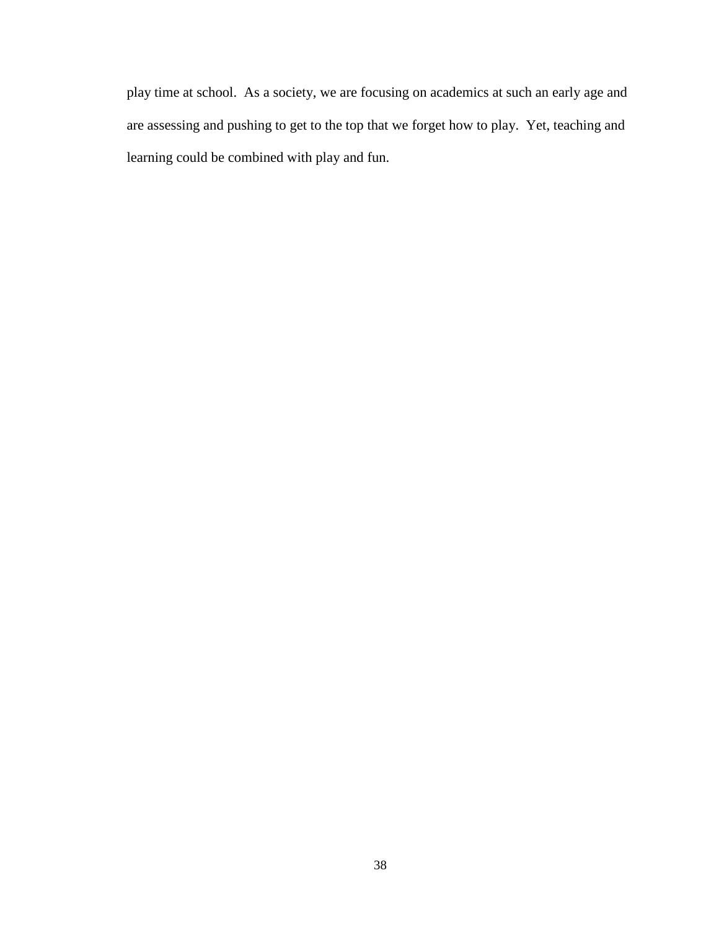play time at school. As a society, we are focusing on academics at such an early age and are assessing and pushing to get to the top that we forget how to play. Yet, teaching and learning could be combined with play and fun.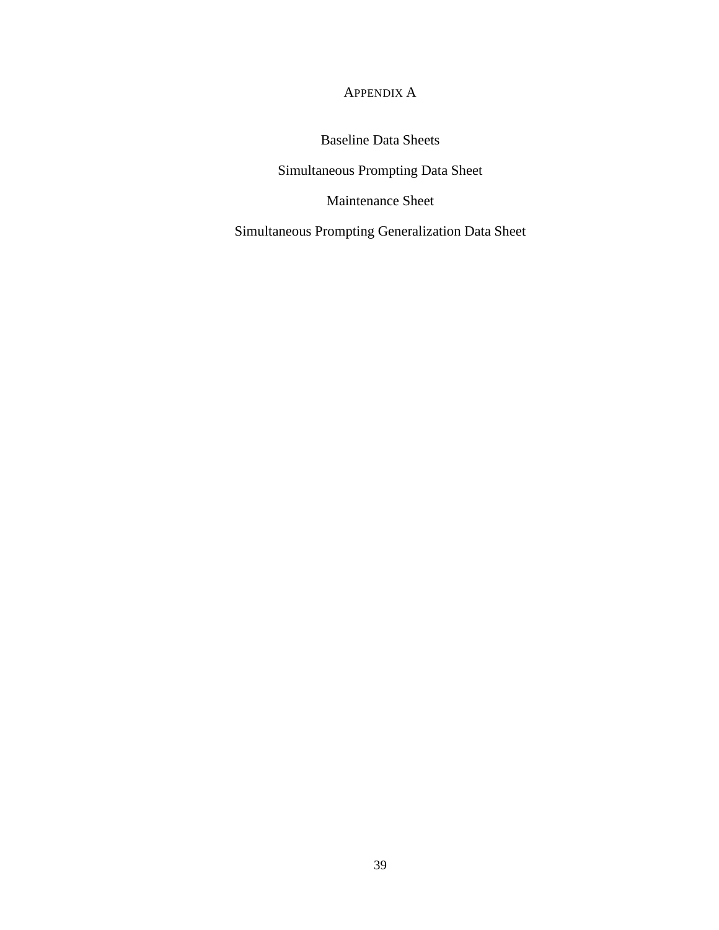APPENDIX A

Baseline Data Sheets

<span id="page-47-0"></span>Simultaneous Prompting Data Sheet

Maintenance Sheet

Simultaneous Prompting Generalization Data Sheet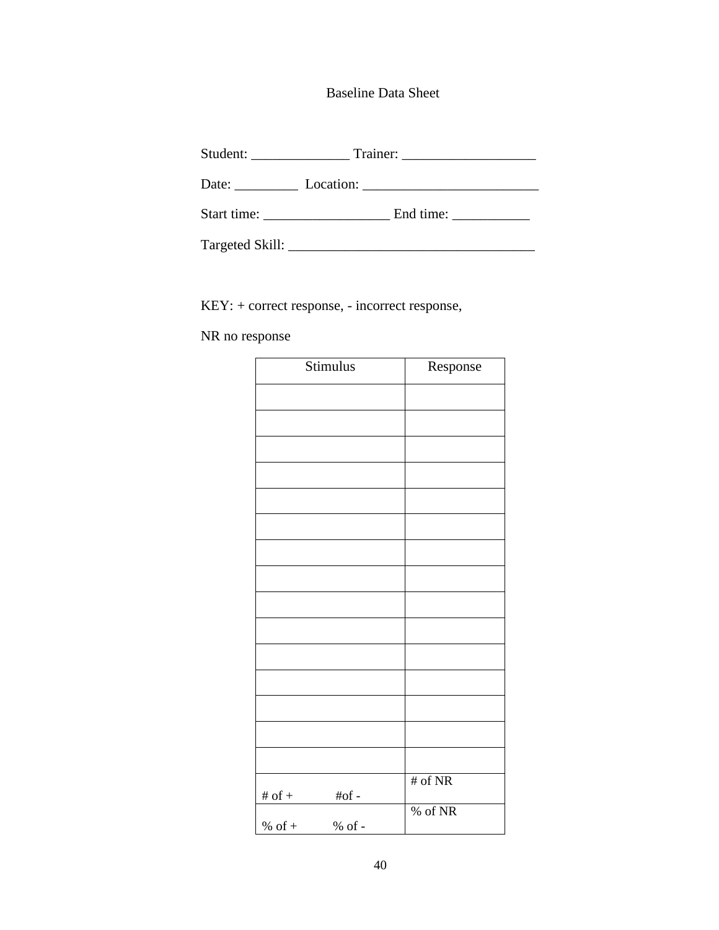Baseline Data Sheet

|                 | End time: |  |  |
|-----------------|-----------|--|--|
| Targeted Skill: |           |  |  |

KEY: + correct response, - incorrect response,

NR no response

| Stimulus                             | Response  |
|--------------------------------------|-----------|
|                                      |           |
|                                      |           |
|                                      |           |
|                                      |           |
|                                      |           |
|                                      |           |
|                                      |           |
|                                      |           |
|                                      |           |
|                                      |           |
|                                      |           |
|                                      |           |
|                                      |           |
|                                      |           |
|                                      |           |
|                                      | # of $NR$ |
| # of $\hspace{0.1mm}$ +<br>$\# of$ - |           |
| % of $+$<br>$\%$ of -                | % of NR   |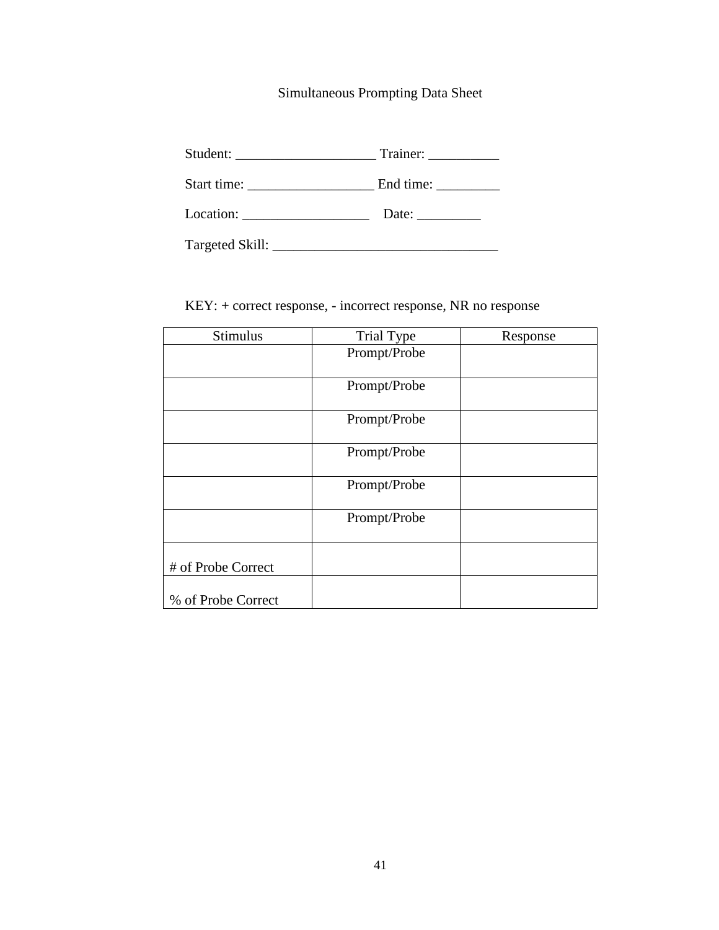### Simultaneous Prompting Data Sheet

Student: \_\_\_\_\_\_\_\_\_\_\_\_\_\_\_\_\_\_\_\_ Trainer: \_\_\_\_\_\_\_\_\_\_

Start time: \_\_\_\_\_\_\_\_\_\_\_\_\_\_\_\_\_\_ End time: \_\_\_\_\_\_\_\_\_

Location: \_\_\_\_\_\_\_\_\_\_\_\_\_\_\_\_\_\_ Date: \_\_\_\_\_\_\_\_\_

Targeted Skill: \_\_\_\_\_\_\_\_\_\_\_\_\_\_\_\_\_\_\_\_\_\_\_\_\_\_\_\_\_\_\_\_

KEY: + correct response, - incorrect response, NR no response

| <b>Stimulus</b>    | <b>Trial Type</b> | Response |
|--------------------|-------------------|----------|
|                    | Prompt/Probe      |          |
|                    |                   |          |
|                    | Prompt/Probe      |          |
|                    | Prompt/Probe      |          |
|                    | Prompt/Probe      |          |
|                    | Prompt/Probe      |          |
|                    | Prompt/Probe      |          |
| # of Probe Correct |                   |          |
| % of Probe Correct |                   |          |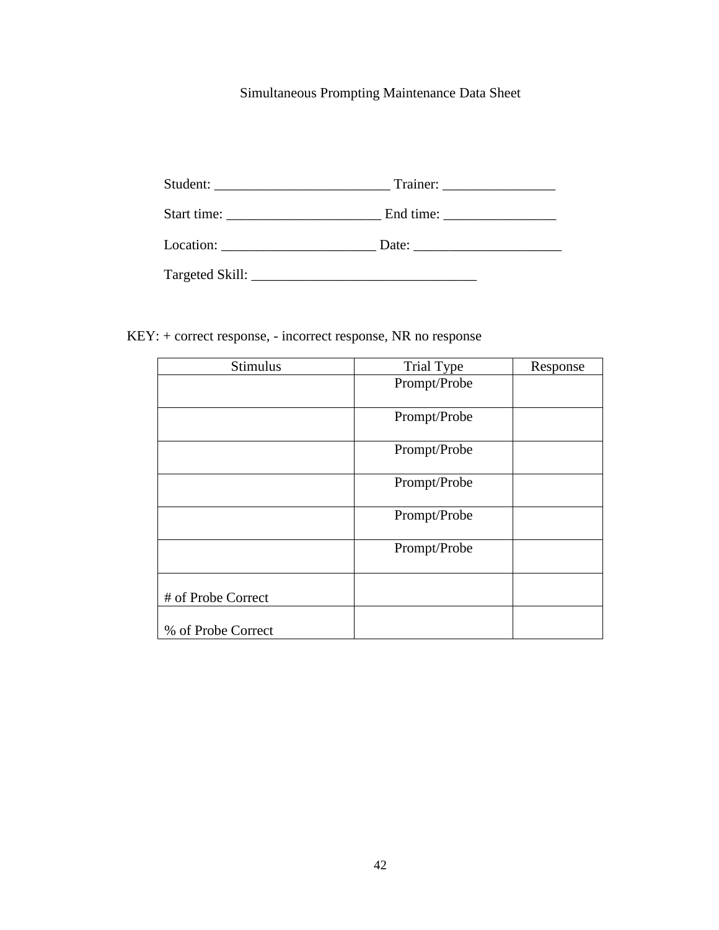# Simultaneous Prompting Maintenance Data Sheet

| End time: $\frac{1}{\sqrt{1-\frac{1}{2}} \cdot \frac{1}{\sqrt{1-\frac{1}{2}} \cdot \frac{1}{\sqrt{1-\frac{1}{2}} \cdot \frac{1}{\sqrt{1-\frac{1}{2}} \cdot \frac{1}{\sqrt{1-\frac{1}{2}} \cdot \frac{1}{\sqrt{1-\frac{1}{2}} \cdot \frac{1}{\sqrt{1-\frac{1}{2}} \cdot \frac{1}{\sqrt{1-\frac{1}{2}} \cdot \frac{1}{\sqrt{1-\frac{1}{2}} \cdot \frac{1}{\sqrt{1-\frac{1}{2}} \cdot \frac{1}{\sqrt{1-\frac{1}{2}} \cdot \frac{1}{\sqrt{1-\frac{$ |
|-------------------------------------------------------------------------------------------------------------------------------------------------------------------------------------------------------------------------------------------------------------------------------------------------------------------------------------------------------------------------------------------------------------------------------------------------|
| Location: Date: Date:                                                                                                                                                                                                                                                                                                                                                                                                                           |
|                                                                                                                                                                                                                                                                                                                                                                                                                                                 |

KEY: + correct response, - incorrect response, NR no response

| Stimulus           | <b>Trial Type</b> | Response |
|--------------------|-------------------|----------|
|                    | Prompt/Probe      |          |
|                    |                   |          |
|                    | Prompt/Probe      |          |
|                    | Prompt/Probe      |          |
|                    | Prompt/Probe      |          |
|                    | Prompt/Probe      |          |
|                    | Prompt/Probe      |          |
| # of Probe Correct |                   |          |
| % of Probe Correct |                   |          |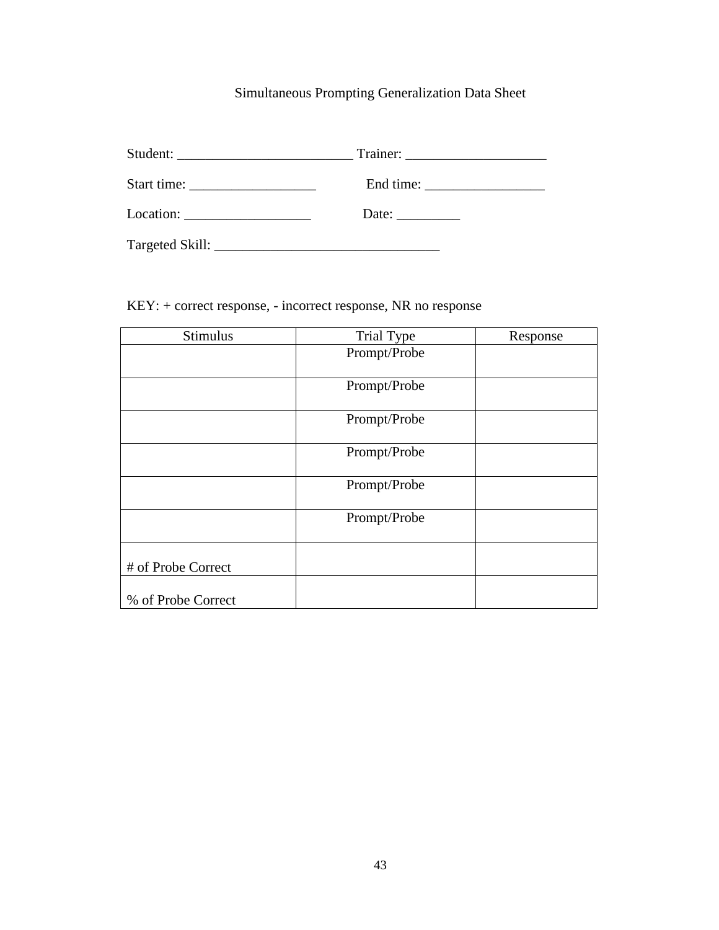# Simultaneous Prompting Generalization Data Sheet

| Student: Trainer: Trainer: |
|----------------------------|
|                            |
| Date:                      |
|                            |

KEY: + correct response, - incorrect response, NR no response

| Stimulus           | Trial Type   | Response |
|--------------------|--------------|----------|
|                    | Prompt/Probe |          |
|                    |              |          |
|                    | Prompt/Probe |          |
|                    |              |          |
|                    | Prompt/Probe |          |
|                    |              |          |
|                    | Prompt/Probe |          |
|                    |              |          |
|                    | Prompt/Probe |          |
|                    |              |          |
|                    | Prompt/Probe |          |
|                    |              |          |
|                    |              |          |
| # of Probe Correct |              |          |
|                    |              |          |
| % of Probe Correct |              |          |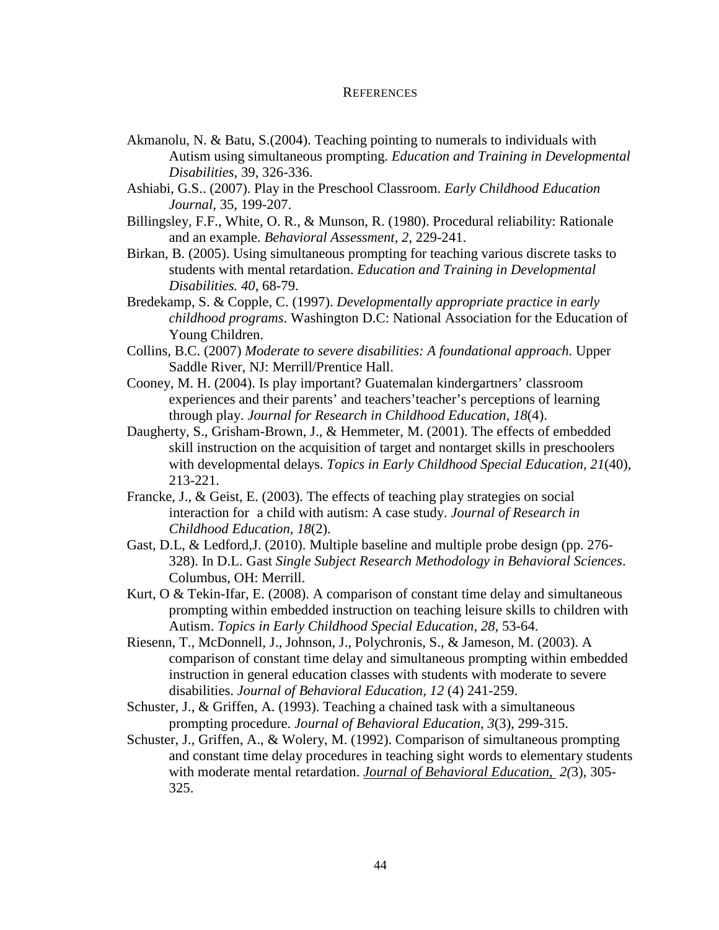#### **REFERENCES**

- <span id="page-52-0"></span>Akmanolu, N. & Batu, S.(2004). Teaching pointing to numerals to individuals with Autism using simultaneous prompting. *Education and Training in Developmental Disabilities*, 39, 326-336.
- Ashiabi, G.S.. (2007). Play in the Preschool Classroom. *Early Childhood Education Journal*, 35, 199-207.
- Billingsley, F.F., White, O. R., & Munson, R. (1980). Procedural reliability: Rationale and an example. *Behavioral Assessment, 2,* 229-241.
- Birkan, B. (2005). Using simultaneous prompting for teaching various discrete tasks to students with mental retardation. *Education and Training in Developmental Disabilities. 40*, 68-79.
- Bredekamp, S. & Copple, C. (1997). *Developmentally appropriate practice in early childhood programs*. Washington D.C: National Association for the Education of Young Children.
- Collins, B.C. (2007) *Moderate to severe disabilities: A foundational approach*. Upper Saddle River, NJ: Merrill/Prentice Hall.
- Cooney, M. H. (2004). Is play important? Guatemalan kindergartners' classroom experiences and their parents' and teachers'teacher's perceptions of learning through play. *Journal for Research in Childhood Education, 18*(4).
- Daugherty, S., Grisham-Brown, J., & Hemmeter, M. (2001). The effects of embedded skill instruction on the acquisition of target and nontarget skills in preschoolers with developmental delays. *Topics in Early Childhood Special Education, 21*(40), 213-221.
- Francke, J., & Geist, E. (2003). The effects of teaching play strategies on social interaction for a child with autism: A case study. *Journal of Research in Childhood Education, 18*(2).
- Gast, D.L, & Ledford,J. (2010). Multiple baseline and multiple probe design (pp. 276- 328). In D.L. Gast *Single Subject Research Methodology in Behavioral Sciences*. Columbus, OH: Merrill.
- Kurt, O & Tekin-Ifar, E. (2008). A comparison of constant time delay and simultaneous prompting within embedded instruction on teaching leisure skills to children with Autism. *Topics in Early Childhood Special Education*, *28,* 53-64.
- Riesenn, T., McDonnell, J., Johnson, J., Polychronis, S., & Jameson, M. (2003). A comparison of constant time delay and simultaneous prompting within embedded instruction in general education classes with students with moderate to severe disabilities. *Journal of Behavioral Education, 12* (4) 241-259.
- Schuster, J., & Griffen, A. (1993). Teaching a chained task with a simultaneous prompting procedure. *Journal of Behavioral Education, 3*(3), 299-315.
- Schuster, J., Griffen, A., & Wolery, M. (1992). Comparison of simultaneous prompting and constant time delay procedures in teaching sight words to elementary students with moderate mental retardation. *Journal of Behavioral Education, 2(*3), 305- 325.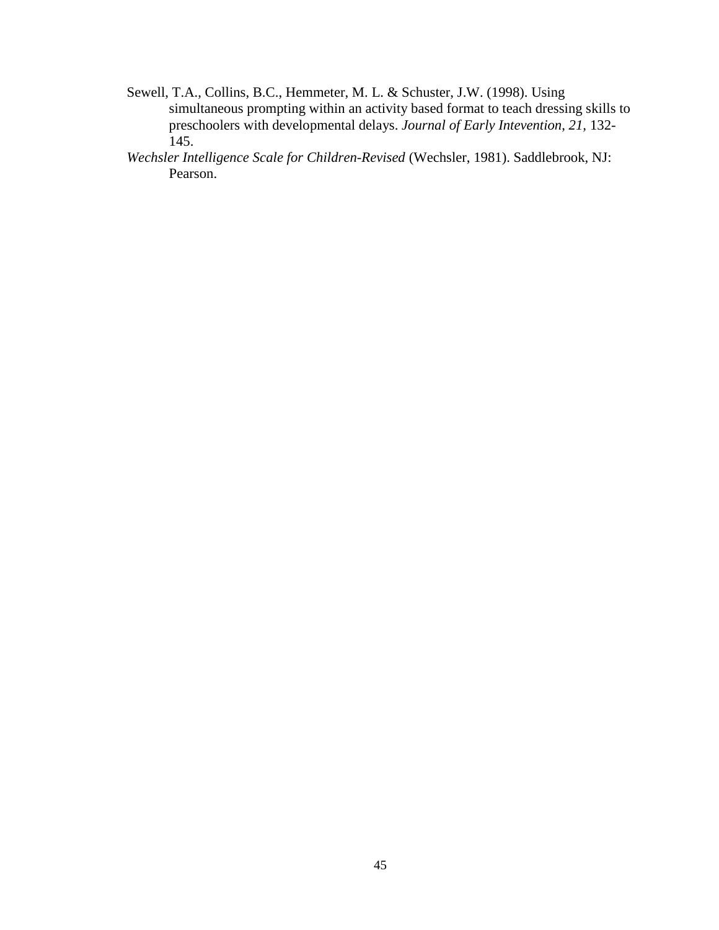- Sewell, T.A., Collins, B.C., Hemmeter, M. L. & Schuster, J.W. (1998). Using simultaneous prompting within an activity based format to teach dressing skills to preschoolers with developmental delays. *Journal of Early Intevention*, *21,* 132- 145.
- *Wechsler Intelligence Scale for Children-Revised* (Wechsler, 1981). Saddlebrook, NJ: Pearson.